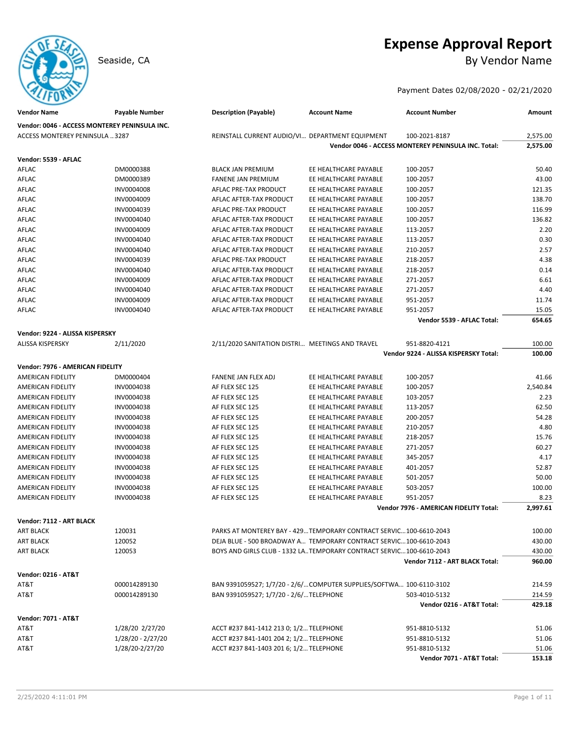# **Expense Approval Report**

Seaside, CA By Vendor Name

### Payment Dates 02/08/2020 - 02/21/2020

| <b>Vendor Name</b>                            | <b>Payable Number</b> | <b>Description (Payable)</b>                    | <b>Account Name</b>                                                   | <b>Account Number</b>                                  | Amount   |
|-----------------------------------------------|-----------------------|-------------------------------------------------|-----------------------------------------------------------------------|--------------------------------------------------------|----------|
| Vendor: 0046 - ACCESS MONTEREY PENINSULA INC. |                       |                                                 |                                                                       |                                                        |          |
| <b>ACCESS MONTEREY PENINSULA  3287</b>        |                       | REINSTALL CURRENT AUDIO/VI DEPARTMENT EQUIPMENT |                                                                       | 100-2021-8187                                          | 2,575.00 |
|                                               |                       |                                                 |                                                                       | Vendor 0046 - ACCESS MONTEREY PENINSULA INC. Total:    | 2,575.00 |
| Vendor: 5539 - AFLAC                          |                       |                                                 |                                                                       |                                                        |          |
| AFLAC                                         | DM0000388             | <b>BLACK JAN PREMIUM</b>                        | EE HEALTHCARE PAYABLE                                                 | 100-2057                                               | 50.40    |
| AFLAC                                         | DM0000389             | <b>FANENE JAN PREMIUM</b>                       | EE HEALTHCARE PAYABLE                                                 | 100-2057                                               | 43.00    |
| AFLAC                                         | <b>INV0004008</b>     | AFLAC PRE-TAX PRODUCT                           | EE HEALTHCARE PAYABLE                                                 | 100-2057                                               | 121.35   |
| AFLAC                                         | INV0004009            | AFLAC AFTER-TAX PRODUCT                         | EE HEALTHCARE PAYABLE                                                 | 100-2057                                               | 138.70   |
| AFLAC                                         | INV0004039            | AFLAC PRE-TAX PRODUCT                           | EE HEALTHCARE PAYABLE                                                 | 100-2057                                               | 116.99   |
| AFLAC                                         | INV0004040            | AFLAC AFTER-TAX PRODUCT                         | EE HEALTHCARE PAYABLE                                                 | 100-2057                                               | 136.82   |
| AFLAC                                         | INV0004009            | AFLAC AFTER-TAX PRODUCT                         | EE HEALTHCARE PAYABLE                                                 | 113-2057                                               | 2.20     |
| AFLAC                                         | INV0004040            | AFLAC AFTER-TAX PRODUCT                         | EE HEALTHCARE PAYABLE                                                 | 113-2057                                               | 0.30     |
| AFLAC                                         | INV0004040            | AFLAC AFTER-TAX PRODUCT                         | EE HEALTHCARE PAYABLE                                                 | 210-2057                                               | 2.57     |
| AFLAC                                         | INV0004039            | AFLAC PRE-TAX PRODUCT                           | EE HEALTHCARE PAYABLE                                                 | 218-2057                                               | 4.38     |
| AFLAC                                         | INV0004040            | AFLAC AFTER-TAX PRODUCT                         | EE HEALTHCARE PAYABLE                                                 | 218-2057                                               | 0.14     |
| AFLAC                                         | INV0004009            | AFLAC AFTER-TAX PRODUCT                         | EE HEALTHCARE PAYABLE                                                 | 271-2057                                               | 6.61     |
| AFLAC                                         | INV0004040            | AFLAC AFTER-TAX PRODUCT                         | EE HEALTHCARE PAYABLE                                                 | 271-2057                                               | 4.40     |
| AFLAC                                         | INV0004009            | AFLAC AFTER-TAX PRODUCT                         | EE HEALTHCARE PAYABLE                                                 | 951-2057                                               | 11.74    |
| AFLAC                                         | INV0004040            | AFLAC AFTER-TAX PRODUCT                         | EE HEALTHCARE PAYABLE                                                 | 951-2057                                               | 15.05    |
|                                               |                       |                                                 |                                                                       | Vendor 5539 - AFLAC Total:                             | 654.65   |
|                                               |                       |                                                 |                                                                       |                                                        |          |
| Vendor: 9224 - ALISSA KISPERSKY               |                       |                                                 |                                                                       |                                                        |          |
| ALISSA KISPERSKY                              | 2/11/2020             | 2/11/2020 SANITATION DISTRI MEETINGS AND TRAVEL |                                                                       | 951-8820-4121<br>Vendor 9224 - ALISSA KISPERSKY Total: | 100.00   |
|                                               |                       |                                                 |                                                                       |                                                        | 100.00   |
| Vendor: 7976 - AMERICAN FIDELITY              |                       |                                                 |                                                                       |                                                        |          |
| AMERICAN FIDELITY                             | DM0000404             | FANENE JAN FLEX ADJ                             | EE HEALTHCARE PAYABLE                                                 | 100-2057                                               | 41.66    |
| AMERICAN FIDELITY                             | INV0004038            | AF FLEX SEC 125                                 | EE HEALTHCARE PAYABLE                                                 | 100-2057                                               | 2,540.84 |
| AMERICAN FIDELITY                             | INV0004038            | AF FLEX SEC 125                                 | EE HEALTHCARE PAYABLE                                                 | 103-2057                                               | 2.23     |
| AMERICAN FIDELITY                             | INV0004038            | AF FLEX SEC 125                                 | EE HEALTHCARE PAYABLE                                                 | 113-2057                                               | 62.50    |
| AMERICAN FIDELITY                             | INV0004038            | AF FLEX SEC 125                                 | EE HEALTHCARE PAYABLE                                                 | 200-2057                                               | 54.28    |
| AMERICAN FIDELITY                             | INV0004038            | AF FLEX SEC 125                                 | EE HEALTHCARE PAYABLE                                                 | 210-2057                                               | 4.80     |
| AMERICAN FIDELITY                             | INV0004038            | AF FLEX SEC 125                                 | EE HEALTHCARE PAYABLE                                                 | 218-2057                                               | 15.76    |
| AMERICAN FIDELITY                             | INV0004038            | AF FLEX SEC 125                                 | EE HEALTHCARE PAYABLE                                                 | 271-2057                                               | 60.27    |
| AMERICAN FIDELITY                             | INV0004038            | AF FLEX SEC 125                                 | EE HEALTHCARE PAYABLE                                                 | 345-2057                                               | 4.17     |
| AMERICAN FIDELITY                             | INV0004038            | AF FLEX SEC 125                                 | EE HEALTHCARE PAYABLE                                                 | 401-2057                                               | 52.87    |
| AMERICAN FIDELITY                             | INV0004038            | AF FLEX SEC 125                                 | EE HEALTHCARE PAYABLE                                                 | 501-2057                                               | 50.00    |
| AMERICAN FIDELITY                             | INV0004038            | AF FLEX SEC 125                                 | EE HEALTHCARE PAYABLE                                                 | 503-2057                                               | 100.00   |
| <b>AMERICAN FIDELITY</b>                      | INV0004038            | AF FLEX SEC 125                                 | EE HEALTHCARE PAYABLE                                                 | 951-2057                                               | 8.23     |
|                                               |                       |                                                 |                                                                       | Vendor 7976 - AMERICAN FIDELITY Total:                 | 2,997.61 |
| Vendor: 7112 - ART BLACK                      |                       |                                                 |                                                                       |                                                        |          |
| <b>ART BLACK</b>                              | 120031                |                                                 | PARKS AT MONTEREY BAY - 429 TEMPORARY CONTRACT SERVIC 100-6610-2043   |                                                        | 100.00   |
| <b>ART BLACK</b>                              | 120052                |                                                 | DEJA BLUE - 500 BROADWAY A TEMPORARY CONTRACT SERVIC100-6610-2043     |                                                        | 430.00   |
| <b>ART BLACK</b>                              | 120053                |                                                 | BOYS AND GIRLS CLUB - 1332 LA TEMPORARY CONTRACT SERVIC 100-6610-2043 |                                                        | 430.00   |
|                                               |                       |                                                 |                                                                       | Vendor 7112 - ART BLACK Total:                         | 960.00   |
| <b>Vendor: 0216 - AT&amp;T</b>                |                       |                                                 |                                                                       |                                                        |          |
| AT&T                                          | 000014289130          |                                                 | BAN 9391059527; 1/7/20 - 2/6/COMPUTER SUPPLIES/SOFTWA 100-6110-3102   |                                                        | 214.59   |
| AT&T                                          | 000014289130          | BAN 9391059527; 1/7/20 - 2/6/TELEPHONE          |                                                                       | 503-4010-5132                                          | 214.59   |
|                                               |                       |                                                 |                                                                       | Vendor 0216 - AT&T Total:                              | 429.18   |
|                                               |                       |                                                 |                                                                       |                                                        |          |
| <b>Vendor: 7071 - AT&amp;T</b>                |                       |                                                 |                                                                       |                                                        |          |
| AT&T                                          | 1/28/20 2/27/20       | ACCT #237 841-1412 213 0; 1/2 TELEPHONE         |                                                                       | 951-8810-5132                                          | 51.06    |
| AT&T                                          | $1/28/20 - 2/27/20$   | ACCT #237 841-1401 204 2; 1/2 TELEPHONE         |                                                                       | 951-8810-5132                                          | 51.06    |
| AT&T                                          | 1/28/20-2/27/20       | ACCT #237 841-1403 201 6; 1/2 TELEPHONE         |                                                                       | 951-8810-5132                                          | 51.06    |
|                                               |                       |                                                 |                                                                       | Vendor 7071 - AT&T Total:                              | 153.18   |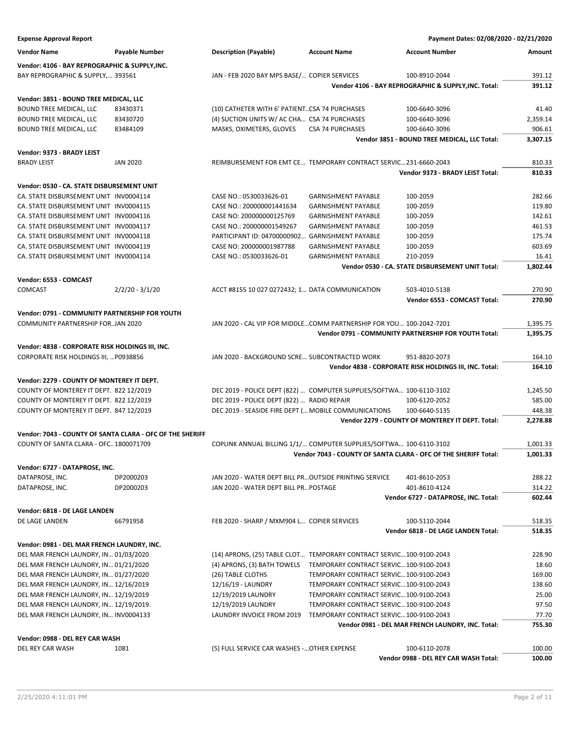| <b>Expense Approval Report</b>                            |                                                           |                                                                                               |                                        | Payment Dates: 02/08/2020 - 02/21/2020                          |                   |
|-----------------------------------------------------------|-----------------------------------------------------------|-----------------------------------------------------------------------------------------------|----------------------------------------|-----------------------------------------------------------------|-------------------|
| <b>Vendor Name</b>                                        | Payable Number                                            | <b>Description (Payable)</b>                                                                  | <b>Account Name</b>                    | <b>Account Number</b>                                           | Amount            |
| Vendor: 4106 - BAY REPROGRAPHIC & SUPPLY, INC.            |                                                           |                                                                                               |                                        |                                                                 |                   |
| BAY REPROGRAPHIC & SUPPLY, 393561                         |                                                           | JAN - FEB 2020 BAY MPS BASE/ COPIER SERVICES                                                  |                                        | 100-8910-2044                                                   | 391.12            |
|                                                           |                                                           |                                                                                               |                                        | Vendor 4106 - BAY REPROGRAPHIC & SUPPLY, INC. Total:            | 391.12            |
|                                                           |                                                           |                                                                                               |                                        |                                                                 |                   |
| Vendor: 3851 - BOUND TREE MEDICAL, LLC                    |                                                           |                                                                                               |                                        |                                                                 |                   |
| <b>BOUND TREE MEDICAL, LLC</b><br>BOUND TREE MEDICAL, LLC | 83430371<br>83430720                                      | (10) CATHETER WITH 6' PATIENTCSA 74 PURCHASES<br>(4) SUCTION UNITS W/ AC CHA CSA 74 PURCHASES |                                        | 100-6640-3096                                                   | 41.40<br>2,359.14 |
| BOUND TREE MEDICAL, LLC                                   | 83484109                                                  | MASKS, OXIMETERS, GLOVES                                                                      | <b>CSA 74 PURCHASES</b>                | 100-6640-3096<br>100-6640-3096                                  | 906.61            |
|                                                           |                                                           |                                                                                               |                                        | Vendor 3851 - BOUND TREE MEDICAL, LLC Total:                    | 3,307.15          |
|                                                           |                                                           |                                                                                               |                                        |                                                                 |                   |
| Vendor: 9373 - BRADY LEIST                                |                                                           |                                                                                               |                                        |                                                                 |                   |
| <b>BRADY LEIST</b>                                        | <b>JAN 2020</b>                                           | REIMBURSEMENT FOR EMT CE TEMPORARY CONTRACT SERVIC231-6660-2043                               |                                        |                                                                 | 810.33            |
|                                                           |                                                           |                                                                                               |                                        | Vendor 9373 - BRADY LEIST Total:                                | 810.33            |
| Vendor: 0530 - CA. STATE DISBURSEMENT UNIT                |                                                           |                                                                                               |                                        |                                                                 |                   |
| CA. STATE DISBURSEMENT UNIT INV0004114                    |                                                           | CASE NO.: 0530033626-01                                                                       | <b>GARNISHMENT PAYABLE</b>             | 100-2059                                                        | 282.66            |
| CA. STATE DISBURSEMENT UNIT INV0004115                    |                                                           | CASE NO.: 200000001441634                                                                     | <b>GARNISHMENT PAYABLE</b>             | 100-2059                                                        | 119.80            |
| CA. STATE DISBURSEMENT UNIT INV0004116                    |                                                           | CASE NO: 200000000125769                                                                      | <b>GARNISHMENT PAYABLE</b>             | 100-2059                                                        | 142.61            |
| CA. STATE DISBURSEMENT UNIT INV0004117                    |                                                           | CASE NO.: 200000001549267                                                                     | <b>GARNISHMENT PAYABLE</b>             | 100-2059                                                        | 461.53            |
| CA. STATE DISBURSEMENT UNIT INV0004118                    |                                                           | PARTICIPANT ID: 04700000902 GARNISHMENT PAYABLE                                               |                                        | 100-2059                                                        | 175.74            |
| CA. STATE DISBURSEMENT UNIT INV0004119                    |                                                           | CASE NO: 200000001987788                                                                      | <b>GARNISHMENT PAYABLE</b>             | 100-2059                                                        | 603.69            |
| CA. STATE DISBURSEMENT UNIT INV0004114                    |                                                           | CASE NO.: 0530033626-01                                                                       | <b>GARNISHMENT PAYABLE</b>             | 210-2059                                                        | 16.41             |
|                                                           |                                                           |                                                                                               |                                        | Vendor 0530 - CA. STATE DISBURSEMENT UNIT Total:                | 1,802.44          |
| Vendor: 6553 - COMCAST                                    |                                                           |                                                                                               |                                        |                                                                 |                   |
| <b>COMCAST</b>                                            | $2/2/20 - 3/1/20$                                         |                                                                                               |                                        | 503-4010-5138                                                   |                   |
|                                                           |                                                           | ACCT #8155 10 027 0272432; 1 DATA COMMUNICATION                                               |                                        | Vendor 6553 - COMCAST Total:                                    | 270.90<br>270.90  |
|                                                           |                                                           |                                                                                               |                                        |                                                                 |                   |
| Vendor: 0791 - COMMUNITY PARTNERSHIP FOR YOUTH            |                                                           |                                                                                               |                                        |                                                                 |                   |
| COMMUNITY PARTNERSHIP FORJAN 2020                         |                                                           | JAN 2020 - CAL VIP FOR MIDDLECOMM PARTNERSHIP FOR YOU 100-2042-7201                           |                                        |                                                                 | 1,395.75          |
|                                                           |                                                           |                                                                                               |                                        | Vendor 0791 - COMMUNITY PARTNERSHIP FOR YOUTH Total:            | 1,395.75          |
| Vendor: 4838 - CORPORATE RISK HOLDINGS III, INC.          |                                                           |                                                                                               |                                        |                                                                 |                   |
| CORPORATE RISK HOLDINGS III,  P0938856                    |                                                           | JAN 2020 - BACKGROUND SCRE SUBCONTRACTED WORK                                                 |                                        | 951-8820-2073                                                   | 164.10            |
|                                                           |                                                           |                                                                                               |                                        | Vendor 4838 - CORPORATE RISK HOLDINGS III, INC. Total:          | 164.10            |
| Vendor: 2279 - COUNTY OF MONTEREY IT DEPT.                |                                                           |                                                                                               |                                        |                                                                 |                   |
|                                                           |                                                           |                                                                                               |                                        |                                                                 |                   |
| COUNTY OF MONTEREY IT DEPT. 822 12/2019                   |                                                           | DEC 2019 - POLICE DEPT (822)  COMPUTER SUPPLIES/SOFTWA 100-6110-3102                          |                                        |                                                                 | 1,245.50          |
| COUNTY OF MONTEREY IT DEPT. 822 12/2019                   |                                                           | DEC 2019 - POLICE DEPT (822)  RADIO REPAIR                                                    |                                        | 100-6120-2052                                                   | 585.00            |
| COUNTY OF MONTEREY IT DEPT. 847 12/2019                   |                                                           | DEC 2019 - SEASIDE FIRE DEPT ( MOBILE COMMUNICATIONS                                          |                                        | 100-6640-5135                                                   | 448.38            |
|                                                           |                                                           |                                                                                               |                                        | Vendor 2279 - COUNTY OF MONTEREY IT DEPT. Total:                | 2,278.88          |
|                                                           | Vendor: 7043 - COUNTY OF SANTA CLARA - OFC OF THE SHERIFF |                                                                                               |                                        |                                                                 |                   |
| COUNTY OF SANTA CLARA - OFC1800071709                     |                                                           | COPLINK ANNUAL BILLING 1/1/ COMPUTER SUPPLIES/SOFTWA 100-6110-3102                            |                                        |                                                                 | 1,001.33          |
|                                                           |                                                           |                                                                                               |                                        | Vendor 7043 - COUNTY OF SANTA CLARA - OFC OF THE SHERIFF Total: | 1,001.33          |
| Vendor: 6727 - DATAPROSE, INC.                            |                                                           |                                                                                               |                                        |                                                                 |                   |
| DATAPROSE, INC.                                           | DP2000203                                                 | JAN 2020 - WATER DEPT BILL PR OUTSIDE PRINTING SERVICE                                        |                                        | 401-8610-2053                                                   | 288.22            |
| DATAPROSE, INC.                                           | DP2000203                                                 | JAN 2020 - WATER DEPT BILL PR POSTAGE                                                         |                                        | 401-8610-4124                                                   | 314.22            |
|                                                           |                                                           |                                                                                               |                                        | Vendor 6727 - DATAPROSE, INC. Total:                            | 602.44            |
|                                                           |                                                           |                                                                                               |                                        |                                                                 |                   |
| Vendor: 6818 - DE LAGE LANDEN                             |                                                           |                                                                                               |                                        |                                                                 |                   |
| DE LAGE LANDEN                                            | 66791958                                                  | FEB 2020 - SHARP / MXM904 L COPIER SERVICES                                                   |                                        | 100-5110-2044                                                   | 518.35            |
|                                                           |                                                           |                                                                                               |                                        | Vendor 6818 - DE LAGE LANDEN Total:                             | 518.35            |
| Vendor: 0981 - DEL MAR FRENCH LAUNDRY, INC.               |                                                           |                                                                                               |                                        |                                                                 |                   |
| DEL MAR FRENCH LAUNDRY, IN 01/03/2020                     |                                                           | (14) APRONS, (25) TABLE CLOT TEMPORARY CONTRACT SERVIC100-9100-2043                           |                                        |                                                                 | 228.90            |
| DEL MAR FRENCH LAUNDRY, IN 01/21/2020                     |                                                           | (4) APRONS, (3) BATH TOWELS                                                                   | TEMPORARY CONTRACT SERVIC100-9100-2043 |                                                                 | 18.60             |
| DEL MAR FRENCH LAUNDRY, IN 01/27/2020                     |                                                           | (26) TABLE CLOTHS                                                                             | TEMPORARY CONTRACT SERVIC100-9100-2043 |                                                                 | 169.00            |
| DEL MAR FRENCH LAUNDRY, IN 12/16/2019                     |                                                           | 12/16/19 - LAUNDRY                                                                            | TEMPORARY CONTRACT SERVIC100-9100-2043 |                                                                 | 138.60            |
| DEL MAR FRENCH LAUNDRY, IN 12/19/2019                     |                                                           | 12/19/2019 LAUNDRY                                                                            | TEMPORARY CONTRACT SERVIC100-9100-2043 |                                                                 | 25.00             |
| DEL MAR FRENCH LAUNDRY, IN 12/19/2019.                    |                                                           | 12/19/2019 LAUNDRY                                                                            | TEMPORARY CONTRACT SERVIC100-9100-2043 |                                                                 | 97.50             |
| DEL MAR FRENCH LAUNDRY, IN INV0004133                     |                                                           | LAUNDRY INVOICE FROM 2019                                                                     | TEMPORARY CONTRACT SERVIC100-9100-2043 |                                                                 | 77.70             |
|                                                           |                                                           |                                                                                               |                                        | Vendor 0981 - DEL MAR FRENCH LAUNDRY, INC. Total:               | 755.30            |
| Vendor: 0988 - DEL REY CAR WASH                           |                                                           |                                                                                               |                                        |                                                                 |                   |
| DEL REY CAR WASH                                          | 1081                                                      | (5) FULL SERVICE CAR WASHES - OTHER EXPENSE                                                   |                                        | 100-6110-2078                                                   | 100.00            |
|                                                           |                                                           |                                                                                               |                                        | Vendor 0988 - DEL REY CAR WASH Total:                           | 100.00            |
|                                                           |                                                           |                                                                                               |                                        |                                                                 |                   |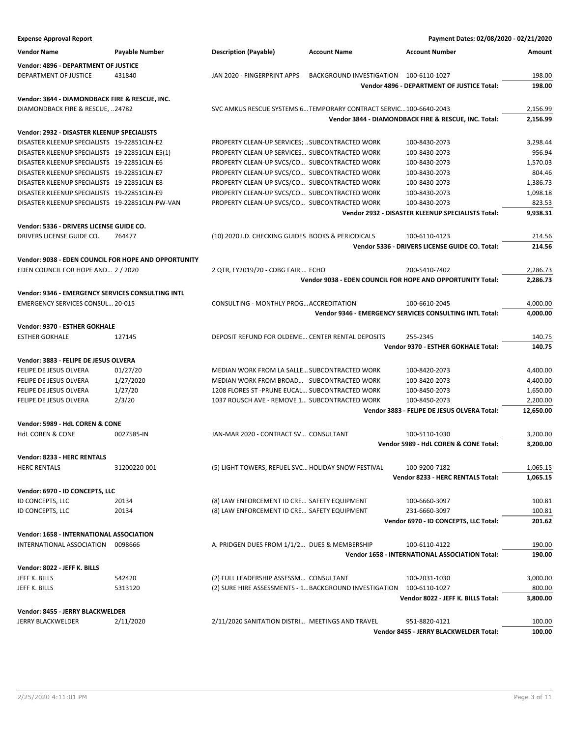| <b>Expense Approval Report</b>                       |                |                                                    |                                                                      | Payment Dates: 02/08/2020 - 02/21/2020                       |                       |
|------------------------------------------------------|----------------|----------------------------------------------------|----------------------------------------------------------------------|--------------------------------------------------------------|-----------------------|
| <b>Vendor Name</b>                                   | Payable Number | <b>Description (Payable)</b>                       | <b>Account Name</b>                                                  | <b>Account Number</b>                                        | Amount                |
| Vendor: 4896 - DEPARTMENT OF JUSTICE                 |                |                                                    |                                                                      |                                                              |                       |
| DEPARTMENT OF JUSTICE                                | 431840         | JAN 2020 - FINGERPRINT APPS                        | BACKGROUND INVESTIGATION 100-6110-1027                               |                                                              | 198.00                |
|                                                      |                |                                                    |                                                                      | Vendor 4896 - DEPARTMENT OF JUSTICE Total:                   | 198.00                |
| Vendor: 3844 - DIAMONDBACK FIRE & RESCUE, INC.       |                |                                                    |                                                                      |                                                              |                       |
| DIAMONDBACK FIRE & RESCUE, 24782                     |                |                                                    | SVC AMKUS RESCUE SYSTEMS 6 TEMPORARY CONTRACT SERVIC100-6640-2043    |                                                              | 2,156.99              |
|                                                      |                |                                                    |                                                                      | Vendor 3844 - DIAMONDBACK FIRE & RESCUE, INC. Total:         | 2,156.99              |
| Vendor: 2932 - DISASTER KLEENUP SPECIALISTS          |                |                                                    |                                                                      |                                                              |                       |
| DISASTER KLEENUP SPECIALISTS 19-22851CLN-E2          |                | PROPERTY CLEAN-UP SERVICES;  SUBCONTRACTED WORK    |                                                                      | 100-8430-2073                                                | 3,298.44              |
| DISASTER KLEENUP SPECIALISTS 19-22851CLN-E5(1)       |                | PROPERTY CLEAN-UP SERVICES SUBCONTRACTED WORK      |                                                                      | 100-8430-2073                                                | 956.94                |
| DISASTER KLEENUP SPECIALISTS 19-22851CLN-E6          |                | PROPERTY CLEAN-UP SVCS/CO SUBCONTRACTED WORK       |                                                                      | 100-8430-2073                                                | 1,570.03              |
| DISASTER KLEENUP SPECIALISTS 19-22851CLN-E7          |                | PROPERTY CLEAN-UP SVCS/CO SUBCONTRACTED WORK       |                                                                      | 100-8430-2073                                                | 804.46                |
| DISASTER KLEENUP SPECIALISTS 19-22851CLN-E8          |                | PROPERTY CLEAN-UP SVCS/CO SUBCONTRACTED WORK       |                                                                      | 100-8430-2073                                                | 1,386.73              |
| DISASTER KLEENUP SPECIALISTS 19-22851CLN-E9          |                | PROPERTY CLEAN-UP SVCS/CO SUBCONTRACTED WORK       |                                                                      | 100-8430-2073                                                | 1,098.18              |
| DISASTER KLEENUP SPECIALISTS 19-22851CLN-PW-VAN      |                | PROPERTY CLEAN-UP SVCS/CO SUBCONTRACTED WORK       |                                                                      | 100-8430-2073                                                | 823.53                |
|                                                      |                |                                                    |                                                                      | Vendor 2932 - DISASTER KLEENUP SPECIALISTS Total:            | 9,938.31              |
| Vendor: 5336 - DRIVERS LICENSE GUIDE CO.             |                |                                                    |                                                                      |                                                              |                       |
| DRIVERS LICENSE GUIDE CO.                            | 764477         | (10) 2020 I.D. CHECKING GUIDES BOOKS & PERIODICALS |                                                                      | 100-6110-4123                                                | 214.56                |
|                                                      |                |                                                    |                                                                      | Vendor 5336 - DRIVERS LICENSE GUIDE CO. Total:               | 214.56                |
| Vendor: 9038 - EDEN COUNCIL FOR HOPE AND OPPORTUNITY |                |                                                    |                                                                      |                                                              |                       |
| EDEN COUNCIL FOR HOPE AND 2 / 2020                   |                | 2 QTR, FY2019/20 - CDBG FAIR  ECHO                 |                                                                      | 200-5410-7402                                                | 2,286.73              |
|                                                      |                |                                                    |                                                                      | Vendor 9038 - EDEN COUNCIL FOR HOPE AND OPPORTUNITY Total:   | 2,286.73              |
| Vendor: 9346 - EMERGENCY SERVICES CONSULTING INTL    |                |                                                    |                                                                      |                                                              |                       |
| <b>EMERGENCY SERVICES CONSUL 20-015</b>              |                | CONSULTING - MONTHLY PROG ACCREDITATION            |                                                                      | 100-6610-2045                                                | 4,000.00              |
|                                                      |                |                                                    |                                                                      | Vendor 9346 - EMERGENCY SERVICES CONSULTING INTL Total:      | 4,000.00              |
| Vendor: 9370 - ESTHER GOKHALE                        |                |                                                    |                                                                      |                                                              |                       |
| <b>ESTHER GOKHALE</b>                                | 127145         | DEPOSIT REFUND FOR OLDEME CENTER RENTAL DEPOSITS   |                                                                      | 255-2345                                                     | 140.75                |
|                                                      |                |                                                    |                                                                      | Vendor 9370 - ESTHER GOKHALE Total:                          | 140.75                |
|                                                      |                |                                                    |                                                                      |                                                              |                       |
| Vendor: 3883 - FELIPE DE JESUS OLVERA                |                |                                                    |                                                                      |                                                              |                       |
| FELIPE DE JESUS OLVERA                               | 01/27/20       | MEDIAN WORK FROM LA SALLE SUBCONTRACTED WORK       |                                                                      | 100-8420-2073                                                | 4,400.00              |
| FELIPE DE JESUS OLVERA                               | 1/27/2020      | MEDIAN WORK FROM BROAD SUBCONTRACTED WORK          |                                                                      | 100-8420-2073                                                | 4,400.00              |
| FELIPE DE JESUS OLVERA                               | 1/27/20        | 1208 FLORES ST - PRUNE EUCAL SUBCONTRACTED WORK    |                                                                      | 100-8450-2073                                                | 1,650.00              |
| FELIPE DE JESUS OLVERA                               | 2/3/20         | 1037 ROUSCH AVE - REMOVE 1 SUBCONTRACTED WORK      |                                                                      | 100-8450-2073<br>Vendor 3883 - FELIPE DE JESUS OLVERA Total: | 2,200.00<br>12,650.00 |
|                                                      |                |                                                    |                                                                      |                                                              |                       |
| Vendor: 5989 - HdL COREN & CONE                      |                |                                                    |                                                                      |                                                              |                       |
| <b>HdL COREN &amp; CONE</b>                          | 0027585-IN     | JAN-MAR 2020 - CONTRACT SV CONSULTANT              |                                                                      | 100-5110-1030                                                | 3,200.00              |
|                                                      |                |                                                    |                                                                      | Vendor 5989 - HdL COREN & CONE Total:                        | 3,200.00              |
| Vendor: 8233 - HERC RENTALS                          |                |                                                    |                                                                      |                                                              |                       |
| <b>HERC RENTALS</b>                                  | 31200220-001   | (5) LIGHT TOWERS, REFUEL SVC HOLIDAY SNOW FESTIVAL |                                                                      | 100-9200-7182                                                | 1,065.15              |
|                                                      |                |                                                    |                                                                      | Vendor 8233 - HERC RENTALS Total:                            | 1,065.15              |
| Vendor: 6970 - ID CONCEPTS, LLC                      |                |                                                    |                                                                      |                                                              |                       |
| ID CONCEPTS, LLC                                     | 20134          | (8) LAW ENFORCEMENT ID CRE SAFETY EQUIPMENT        |                                                                      | 100-6660-3097                                                | 100.81                |
| ID CONCEPTS, LLC                                     | 20134          | (8) LAW ENFORCEMENT ID CRE SAFETY EQUIPMENT        |                                                                      | 231-6660-3097                                                | 100.81                |
|                                                      |                |                                                    |                                                                      | Vendor 6970 - ID CONCEPTS, LLC Total:                        | 201.62                |
| Vendor: 1658 - INTERNATIONAL ASSOCIATION             |                |                                                    |                                                                      |                                                              |                       |
| INTERNATIONAL ASSOCIATION                            | 0098666        | A. PRIDGEN DUES FROM 1/1/2 DUES & MEMBERSHIP       |                                                                      | 100-6110-4122                                                | 190.00                |
|                                                      |                |                                                    |                                                                      | Vendor 1658 - INTERNATIONAL ASSOCIATION Total:               | 190.00                |
| Vendor: 8022 - JEFF K. BILLS                         |                |                                                    |                                                                      |                                                              |                       |
| JEFF K. BILLS                                        | 542420         | (2) FULL LEADERSHIP ASSESSM CONSULTANT             |                                                                      | 100-2031-1030                                                | 3,000.00              |
| JEFF K. BILLS                                        | 5313120        |                                                    | (2) SURE HIRE ASSESSMENTS - 1 BACKGROUND INVESTIGATION 100-6110-1027 |                                                              | 800.00                |
|                                                      |                |                                                    |                                                                      | Vendor 8022 - JEFF K. BILLS Total:                           | 3,800.00              |
| Vendor: 8455 - JERRY BLACKWELDER                     |                |                                                    |                                                                      |                                                              |                       |
| JERRY BLACKWELDER                                    | 2/11/2020      | 2/11/2020 SANITATION DISTRI MEETINGS AND TRAVEL    |                                                                      | 951-8820-4121                                                | 100.00                |
|                                                      |                |                                                    |                                                                      | Vendor 8455 - JERRY BLACKWELDER Total:                       | 100.00                |
|                                                      |                |                                                    |                                                                      |                                                              |                       |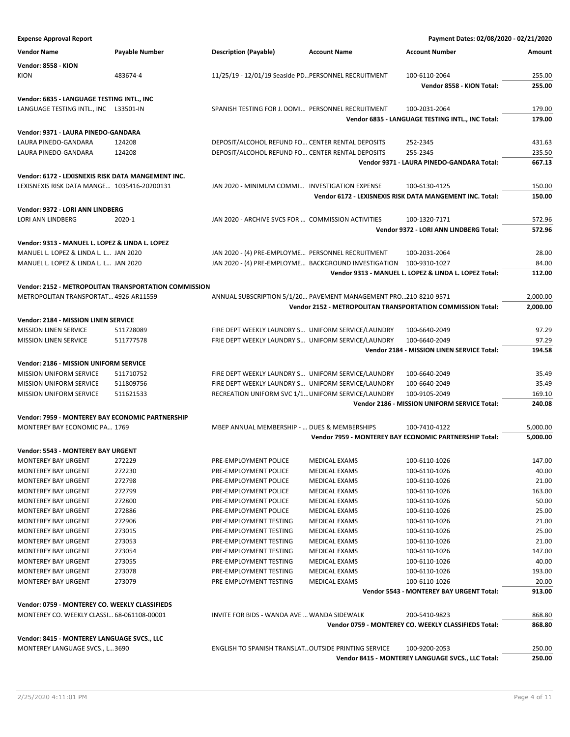| <b>Expense Approval Report</b>                                                      |                                                       |                                                      |                                                                    | Payment Dates: 02/08/2020 - 02/21/2020                   |                  |
|-------------------------------------------------------------------------------------|-------------------------------------------------------|------------------------------------------------------|--------------------------------------------------------------------|----------------------------------------------------------|------------------|
| <b>Vendor Name</b>                                                                  | <b>Payable Number</b>                                 | <b>Description (Payable)</b>                         | <b>Account Name</b>                                                | <b>Account Number</b>                                    | Amount           |
| Vendor: 8558 - KION                                                                 |                                                       |                                                      |                                                                    |                                                          |                  |
| KION                                                                                | 483674-4                                              | 11/25/19 - 12/01/19 Seaside PD PERSONNEL RECRUITMENT |                                                                    | 100-6110-2064                                            | 255.00           |
|                                                                                     |                                                       |                                                      |                                                                    | Vendor 8558 - KION Total:                                | 255.00           |
|                                                                                     |                                                       |                                                      |                                                                    |                                                          |                  |
| Vendor: 6835 - LANGUAGE TESTING INTL., INC<br>LANGUAGE TESTING INTL., INC L33501-IN |                                                       | SPANISH TESTING FOR J. DOMI PERSONNEL RECRUITMENT    |                                                                    | 100-2031-2064                                            | 179.00           |
|                                                                                     |                                                       |                                                      |                                                                    | Vendor 6835 - LANGUAGE TESTING INTL., INC Total:         | 179.00           |
|                                                                                     |                                                       |                                                      |                                                                    |                                                          |                  |
| Vendor: 9371 - LAURA PINEDO-GANDARA                                                 |                                                       |                                                      |                                                                    |                                                          |                  |
| LAURA PINEDO-GANDARA                                                                | 124208                                                | DEPOSIT/ALCOHOL REFUND FO CENTER RENTAL DEPOSITS     |                                                                    | 252-2345                                                 | 431.63           |
| LAURA PINEDO-GANDARA                                                                | 124208                                                | DEPOSIT/ALCOHOL REFUND FO CENTER RENTAL DEPOSITS     |                                                                    | 255-2345<br>Vendor 9371 - LAURA PINEDO-GANDARA Total:    | 235.50<br>667.13 |
|                                                                                     |                                                       |                                                      |                                                                    |                                                          |                  |
| Vendor: 6172 - LEXISNEXIS RISK DATA MANGEMENT INC.                                  |                                                       |                                                      |                                                                    |                                                          |                  |
| LEXISNEXIS RISK DATA MANGE 1035416-20200131                                         |                                                       | JAN 2020 - MINIMUM COMMI INVESTIGATION EXPENSE       |                                                                    | 100-6130-4125                                            | 150.00           |
|                                                                                     |                                                       |                                                      |                                                                    | Vendor 6172 - LEXISNEXIS RISK DATA MANGEMENT INC. Total: | 150.00           |
| Vendor: 9372 - LORI ANN LINDBERG                                                    |                                                       |                                                      |                                                                    |                                                          |                  |
| LORI ANN LINDBERG                                                                   | 2020-1                                                | JAN 2020 - ARCHIVE SVCS FOR  COMMISSION ACTIVITIES   |                                                                    | 100-1320-7171                                            | 572.96           |
|                                                                                     |                                                       |                                                      |                                                                    | Vendor 9372 - LORI ANN LINDBERG Total:                   | 572.96           |
| Vendor: 9313 - MANUEL L. LOPEZ & LINDA L. LOPEZ                                     |                                                       |                                                      |                                                                    |                                                          |                  |
| MANUEL L. LOPEZ & LINDA L. L JAN 2020                                               |                                                       | JAN 2020 - (4) PRE-EMPLOYME PERSONNEL RECRUITMENT    |                                                                    | 100-2031-2064                                            | 28.00            |
| MANUEL L. LOPEZ & LINDA L. L JAN 2020                                               |                                                       |                                                      | JAN 2020 - (4) PRE-EMPLOYME BACKGROUND INVESTIGATION 100-9310-1027 |                                                          | 84.00            |
|                                                                                     |                                                       |                                                      |                                                                    | Vendor 9313 - MANUEL L. LOPEZ & LINDA L. LOPEZ Total:    | 112.00           |
|                                                                                     | Vendor: 2152 - METROPOLITAN TRANSPORTATION COMMISSION |                                                      |                                                                    |                                                          |                  |
| METROPOLITAN TRANSPORTAT 4926-AR11559                                               |                                                       |                                                      | ANNUAL SUBSCRIPTION 5/1/20 PAVEMENT MANAGEMENT PRO210-8210-9571    |                                                          | 2,000.00         |
|                                                                                     |                                                       |                                                      | Vendor 2152 - METROPOLITAN TRANSPORTATION COMMISSION Total:        |                                                          | 2,000.00         |
| Vendor: 2184 - MISSION LINEN SERVICE                                                |                                                       |                                                      |                                                                    |                                                          |                  |
| <b>MISSION LINEN SERVICE</b>                                                        | 511728089                                             | FIRE DEPT WEEKLY LAUNDRY S UNIFORM SERVICE/LAUNDRY   |                                                                    | 100-6640-2049                                            | 97.29            |
| <b>MISSION LINEN SERVICE</b>                                                        | 511777578                                             | FRIE DEPT WEEKLY LAUNDRY S UNIFORM SERVICE/LAUNDRY   |                                                                    | 100-6640-2049                                            | 97.29            |
|                                                                                     |                                                       |                                                      |                                                                    | Vendor 2184 - MISSION LINEN SERVICE Total:               | 194.58           |
| Vendor: 2186 - MISSION UNIFORM SERVICE                                              |                                                       |                                                      |                                                                    |                                                          |                  |
| MISSION UNIFORM SERVICE                                                             | 511710752                                             | FIRE DEPT WEEKLY LAUNDRY S UNIFORM SERVICE/LAUNDRY   |                                                                    | 100-6640-2049                                            | 35.49            |
| MISSION UNIFORM SERVICE                                                             | 511809756                                             | FIRE DEPT WEEKLY LAUNDRY S UNIFORM SERVICE/LAUNDRY   |                                                                    | 100-6640-2049                                            | 35.49            |
| MISSION UNIFORM SERVICE                                                             | 511621533                                             | RECREATION UNIFORM SVC 1/1 UNIFORM SERVICE/LAUNDRY   |                                                                    | 100-9105-2049                                            | 169.10           |
|                                                                                     |                                                       |                                                      |                                                                    | Vendor 2186 - MISSION UNIFORM SERVICE Total:             | 240.08           |
| Vendor: 7959 - MONTEREY BAY ECONOMIC PARTNERSHIP                                    |                                                       |                                                      |                                                                    |                                                          |                  |
| MONTEREY BAY ECONOMIC PA 1769                                                       |                                                       | MBEP ANNUAL MEMBERSHIP -  DUES & MEMBERSHIPS         |                                                                    | 100-7410-4122                                            | 5,000.00         |
|                                                                                     |                                                       |                                                      |                                                                    | Vendor 7959 - MONTEREY BAY ECONOMIC PARTNERSHIP Total:   | 5,000.00         |
|                                                                                     |                                                       |                                                      |                                                                    |                                                          |                  |
| Vendor: 5543 - MONTEREY BAY URGENT                                                  |                                                       |                                                      |                                                                    |                                                          |                  |
| <b>MONTEREY BAY URGENT</b>                                                          | 272229                                                | PRE-EMPLOYMENT POLICE                                | MEDICAL EXAMS                                                      | 100-6110-1026                                            | 147.00<br>40.00  |
| <b>MONTEREY BAY URGENT</b><br><b>MONTEREY BAY URGENT</b>                            | 272230<br>272798                                      | PRE-EMPLOYMENT POLICE<br>PRE-EMPLOYMENT POLICE       | MEDICAL EXAMS<br>MEDICAL EXAMS                                     | 100-6110-1026<br>100-6110-1026                           | 21.00            |
| MONTEREY BAY URGENT                                                                 | 272799                                                | PRE-EMPLOYMENT POLICE                                | <b>MEDICAL EXAMS</b>                                               | 100-6110-1026                                            | 163.00           |
| MONTEREY BAY URGENT                                                                 | 272800                                                | PRE-EMPLOYMENT POLICE                                | MEDICAL EXAMS                                                      | 100-6110-1026                                            | 50.00            |
| MONTEREY BAY URGENT                                                                 | 272886                                                | PRE-EMPLOYMENT POLICE                                | MEDICAL EXAMS                                                      | 100-6110-1026                                            | 25.00            |
| <b>MONTEREY BAY URGENT</b>                                                          | 272906                                                | PRE-EMPLOYMENT TESTING                               | MEDICAL EXAMS                                                      | 100-6110-1026                                            | 21.00            |
| <b>MONTEREY BAY URGENT</b>                                                          | 273015                                                | PRE-EMPLOYMENT TESTING                               | <b>MEDICAL EXAMS</b>                                               | 100-6110-1026                                            | 25.00            |
| <b>MONTEREY BAY URGENT</b>                                                          | 273053                                                | PRE-EMPLOYMENT TESTING                               | MEDICAL EXAMS                                                      | 100-6110-1026                                            | 21.00            |
| MONTEREY BAY URGENT                                                                 | 273054                                                | PRE-EMPLOYMENT TESTING                               | MEDICAL EXAMS                                                      | 100-6110-1026                                            | 147.00           |
| MONTEREY BAY URGENT                                                                 | 273055                                                | PRE-EMPLOYMENT TESTING                               | MEDICAL EXAMS                                                      | 100-6110-1026                                            | 40.00            |
| <b>MONTEREY BAY URGENT</b>                                                          | 273078                                                | PRE-EMPLOYMENT TESTING                               | MEDICAL EXAMS                                                      | 100-6110-1026                                            | 193.00           |
| MONTEREY BAY URGENT                                                                 | 273079                                                | PRE-EMPLOYMENT TESTING                               | MEDICAL EXAMS                                                      | 100-6110-1026                                            | 20.00            |
|                                                                                     |                                                       |                                                      |                                                                    | Vendor 5543 - MONTEREY BAY URGENT Total:                 | 913.00           |
| Vendor: 0759 - MONTEREY CO. WEEKLY CLASSIFIEDS                                      |                                                       |                                                      |                                                                    |                                                          |                  |
| MONTEREY CO. WEEKLY CLASSI 68-061108-00001                                          |                                                       | INVITE FOR BIDS - WANDA AVE  WANDA SIDEWALK          |                                                                    | 200-5410-9823                                            | 868.80           |
|                                                                                     |                                                       |                                                      |                                                                    | Vendor 0759 - MONTEREY CO. WEEKLY CLASSIFIEDS Total:     | 868.80           |
|                                                                                     |                                                       |                                                      |                                                                    |                                                          |                  |
| Vendor: 8415 - MONTEREY LANGUAGE SVCS., LLC                                         |                                                       |                                                      |                                                                    |                                                          |                  |
| MONTEREY LANGUAGE SVCS., L 3690                                                     |                                                       | ENGLISH TO SPANISH TRANSLAT OUTSIDE PRINTING SERVICE |                                                                    | 100-9200-2053                                            | 250.00           |
|                                                                                     |                                                       |                                                      |                                                                    | Vendor 8415 - MONTEREY LANGUAGE SVCS., LLC Total:        | 250.00           |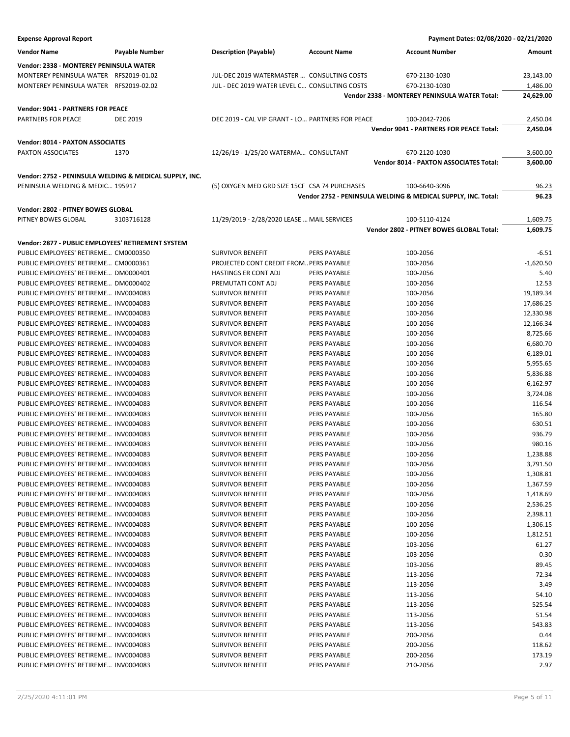| <b>Expense Approval Report</b>                                                 |                       |                                                    |                              | Payment Dates: 02/08/2020 - 02/21/2020                         |                      |
|--------------------------------------------------------------------------------|-----------------------|----------------------------------------------------|------------------------------|----------------------------------------------------------------|----------------------|
| <b>Vendor Name</b>                                                             | <b>Payable Number</b> | <b>Description (Payable)</b>                       | <b>Account Name</b>          | <b>Account Number</b>                                          | Amount               |
| Vendor: 2338 - MONTEREY PENINSULA WATER                                        |                       |                                                    |                              |                                                                |                      |
| MONTEREY PENINSULA WATER RFS2019-01.02                                         |                       | JUL-DEC 2019 WATERMASTER  CONSULTING COSTS         |                              | 670-2130-1030                                                  | 23,143.00            |
| MONTEREY PENINSULA WATER RFS2019-02.02                                         |                       | JUL - DEC 2019 WATER LEVEL C CONSULTING COSTS      |                              | 670-2130-1030                                                  | 1,486.00             |
|                                                                                |                       |                                                    |                              | Vendor 2338 - MONTEREY PENINSULA WATER Total:                  | 24,629.00            |
| <b>Vendor: 9041 - PARTNERS FOR PEACE</b>                                       |                       |                                                    |                              |                                                                |                      |
| PARTNERS FOR PEACE                                                             | <b>DEC 2019</b>       | DEC 2019 - CAL VIP GRANT - LO PARTNERS FOR PEACE   |                              | 100-2042-7206                                                  | 2,450.04             |
|                                                                                |                       |                                                    |                              | <b>Vendor 9041 - PARTNERS FOR PEACE Total:</b>                 | 2,450.04             |
|                                                                                |                       |                                                    |                              |                                                                |                      |
| <b>Vendor: 8014 - PAXTON ASSOCIATES</b>                                        |                       |                                                    |                              |                                                                |                      |
| PAXTON ASSOCIATES                                                              | 1370                  | 12/26/19 - 1/25/20 WATERMA CONSULTANT              |                              | 670-2120-1030<br><b>Vendor 8014 - PAXTON ASSOCIATES Total:</b> | 3,600.00<br>3,600.00 |
|                                                                                |                       |                                                    |                              |                                                                |                      |
| Vendor: 2752 - PENINSULA WELDING & MEDICAL SUPPLY, INC.                        |                       |                                                    |                              |                                                                |                      |
| PENINSULA WELDING & MEDIC 195917                                               |                       | (5) OXYGEN MED GRD SIZE 15CF CSA 74 PURCHASES      |                              | 100-6640-3096                                                  | 96.23                |
|                                                                                |                       |                                                    |                              | Vendor 2752 - PENINSULA WELDING & MEDICAL SUPPLY, INC. Total:  | 96.23                |
| Vendor: 2802 - PITNEY BOWES GLOBAL                                             |                       |                                                    |                              |                                                                |                      |
| PITNEY BOWES GLOBAL                                                            | 3103716128            | 11/29/2019 - 2/28/2020 LEASE  MAIL SERVICES        |                              | 100-5110-4124                                                  | 1,609.75             |
|                                                                                |                       |                                                    |                              | Vendor 2802 - PITNEY BOWES GLOBAL Total:                       | 1,609.75             |
| Vendor: 2877 - PUBLIC EMPLOYEES' RETIREMENT SYSTEM                             |                       |                                                    |                              |                                                                |                      |
| PUBLIC EMPLOYEES' RETIREME CM0000350                                           |                       | <b>SURVIVOR BENEFIT</b>                            | PERS PAYABLE                 | 100-2056                                                       | $-6.51$              |
| PUBLIC EMPLOYEES' RETIREME CM0000361                                           |                       | PROJECTED CONT CREDIT FROM PERS PAYABLE            |                              | 100-2056                                                       | $-1,620.50$          |
| PUBLIC EMPLOYEES' RETIREME DM0000401                                           |                       | HASTINGS ER CONT ADJ                               | PERS PAYABLE                 | 100-2056                                                       | 5.40                 |
| PUBLIC EMPLOYEES' RETIREME DM0000402                                           |                       | PREMUTATI CONT ADJ                                 | PERS PAYABLE                 | 100-2056                                                       | 12.53                |
| PUBLIC EMPLOYEES' RETIREME INV0004083                                          |                       | <b>SURVIVOR BENEFIT</b>                            | <b>PERS PAYABLE</b>          | 100-2056                                                       | 19,189.34            |
| PUBLIC EMPLOYEES' RETIREME INV0004083                                          |                       | <b>SURVIVOR BENEFIT</b>                            | PERS PAYABLE                 | 100-2056                                                       | 17,686.25            |
| PUBLIC EMPLOYEES' RETIREME INV0004083                                          |                       | <b>SURVIVOR BENEFIT</b>                            | PERS PAYABLE                 | 100-2056                                                       | 12,330.98            |
| PUBLIC EMPLOYEES' RETIREME INV0004083                                          |                       | <b>SURVIVOR BENEFIT</b>                            | PERS PAYABLE                 | 100-2056                                                       | 12,166.34            |
| PUBLIC EMPLOYEES' RETIREME INV0004083                                          |                       | <b>SURVIVOR BENEFIT</b>                            | <b>PERS PAYABLE</b>          | 100-2056                                                       | 8,725.66             |
| PUBLIC EMPLOYEES' RETIREME INV0004083                                          |                       | <b>SURVIVOR BENEFIT</b>                            | <b>PERS PAYABLE</b>          | 100-2056                                                       | 6,680.70             |
| PUBLIC EMPLOYEES' RETIREME INV0004083                                          |                       | <b>SURVIVOR BENEFIT</b>                            | PERS PAYABLE                 | 100-2056                                                       | 6,189.01             |
| PUBLIC EMPLOYEES' RETIREME INV0004083                                          |                       | <b>SURVIVOR BENEFIT</b>                            | PERS PAYABLE                 | 100-2056                                                       | 5,955.65             |
| PUBLIC EMPLOYEES' RETIREME INV0004083                                          |                       | <b>SURVIVOR BENEFIT</b>                            | PERS PAYABLE                 | 100-2056                                                       | 5,836.88             |
| PUBLIC EMPLOYEES' RETIREME INV0004083                                          |                       | <b>SURVIVOR BENEFIT</b>                            | PERS PAYABLE                 | 100-2056                                                       | 6,162.97             |
| PUBLIC EMPLOYEES' RETIREME INV0004083                                          |                       | <b>SURVIVOR BENEFIT</b>                            | <b>PERS PAYABLE</b>          | 100-2056                                                       | 3,724.08             |
| PUBLIC EMPLOYEES' RETIREME INV0004083                                          |                       | <b>SURVIVOR BENEFIT</b>                            | PERS PAYABLE                 | 100-2056                                                       | 116.54               |
| PUBLIC EMPLOYEES' RETIREME INV0004083                                          |                       | <b>SURVIVOR BENEFIT</b>                            | PERS PAYABLE                 | 100-2056                                                       | 165.80               |
| PUBLIC EMPLOYEES' RETIREME INV0004083                                          |                       | <b>SURVIVOR BENEFIT</b>                            | PERS PAYABLE                 | 100-2056                                                       | 630.51               |
| PUBLIC EMPLOYEES' RETIREME INV0004083                                          |                       | <b>SURVIVOR BENEFIT</b>                            | <b>PERS PAYABLE</b>          | 100-2056                                                       | 936.79               |
| PUBLIC EMPLOYEES' RETIREME INV0004083                                          |                       | <b>SURVIVOR BENEFIT</b>                            | <b>PERS PAYABLE</b>          | 100-2056                                                       | 980.16               |
| PUBLIC EMPLOYEES' RETIREME INV0004083                                          |                       | <b>SURVIVOR BENEFIT</b>                            | PERS PAYABLE                 | 100-2056                                                       | 1,238.88             |
| PUBLIC EMPLOYEES' RETIREME INV0004083                                          |                       | <b>SURVIVOR BENEFIT</b>                            | PERS PAYABLE                 | 100-2056                                                       | 3,791.50             |
| PUBLIC EMPLOYEES' RETIREME INV0004083                                          |                       | <b>SURVIVOR BENEFIT</b>                            | PERS PAYABLE                 | 100-2056                                                       | 1,308.81             |
| PUBLIC EMPLOYEES' RETIREME INV0004083                                          |                       | <b>SURVIVOR BENEFIT</b>                            | PERS PAYABLE                 | 100-2056                                                       | 1,367.59             |
| PUBLIC EMPLOYEES' RETIREME INV0004083                                          |                       | <b>SURVIVOR BENEFIT</b>                            | PERS PAYABLE                 | 100-2056                                                       | 1,418.69             |
| PUBLIC EMPLOYEES' RETIREME INV0004083                                          |                       | <b>SURVIVOR BENEFIT</b>                            | PERS PAYABLE                 | 100-2056                                                       | 2,536.25             |
| PUBLIC EMPLOYEES' RETIREME INV0004083                                          |                       | <b>SURVIVOR BENEFIT</b>                            | PERS PAYABLE                 | 100-2056                                                       | 2,398.11             |
| PUBLIC EMPLOYEES' RETIREME INV0004083<br>PUBLIC EMPLOYEES' RETIREME INV0004083 |                       | <b>SURVIVOR BENEFIT</b>                            | PERS PAYABLE                 | 100-2056<br>100-2056                                           | 1,306.15             |
| PUBLIC EMPLOYEES' RETIREME INV0004083                                          |                       | <b>SURVIVOR BENEFIT</b><br><b>SURVIVOR BENEFIT</b> | PERS PAYABLE<br>PERS PAYABLE | 103-2056                                                       | 1,812.51<br>61.27    |
| PUBLIC EMPLOYEES' RETIREME INV0004083                                          |                       | <b>SURVIVOR BENEFIT</b>                            | PERS PAYABLE                 | 103-2056                                                       | 0.30                 |
| PUBLIC EMPLOYEES' RETIREME INV0004083                                          |                       | <b>SURVIVOR BENEFIT</b>                            | PERS PAYABLE                 | 103-2056                                                       | 89.45                |
| PUBLIC EMPLOYEES' RETIREME INV0004083                                          |                       | <b>SURVIVOR BENEFIT</b>                            | PERS PAYABLE                 | 113-2056                                                       | 72.34                |
| PUBLIC EMPLOYEES' RETIREME INV0004083                                          |                       | <b>SURVIVOR BENEFIT</b>                            | PERS PAYABLE                 | 113-2056                                                       | 3.49                 |
| PUBLIC EMPLOYEES' RETIREME INV0004083                                          |                       | <b>SURVIVOR BENEFIT</b>                            | PERS PAYABLE                 | 113-2056                                                       | 54.10                |
| PUBLIC EMPLOYEES' RETIREME INV0004083                                          |                       | <b>SURVIVOR BENEFIT</b>                            | PERS PAYABLE                 | 113-2056                                                       | 525.54               |
| PUBLIC EMPLOYEES' RETIREME INV0004083                                          |                       | <b>SURVIVOR BENEFIT</b>                            | PERS PAYABLE                 | 113-2056                                                       | 51.54                |
| PUBLIC EMPLOYEES' RETIREME INV0004083                                          |                       | <b>SURVIVOR BENEFIT</b>                            | PERS PAYABLE                 | 113-2056                                                       | 543.83               |
| PUBLIC EMPLOYEES' RETIREME INV0004083                                          |                       | <b>SURVIVOR BENEFIT</b>                            | PERS PAYABLE                 | 200-2056                                                       | 0.44                 |
| PUBLIC EMPLOYEES' RETIREME INV0004083                                          |                       | <b>SURVIVOR BENEFIT</b>                            | PERS PAYABLE                 | 200-2056                                                       | 118.62               |
| PUBLIC EMPLOYEES' RETIREME INV0004083                                          |                       | <b>SURVIVOR BENEFIT</b>                            | PERS PAYABLE                 | 200-2056                                                       | 173.19               |
| PUBLIC EMPLOYEES' RETIREME INV0004083                                          |                       | <b>SURVIVOR BENEFIT</b>                            | PERS PAYABLE                 | 210-2056                                                       | 2.97                 |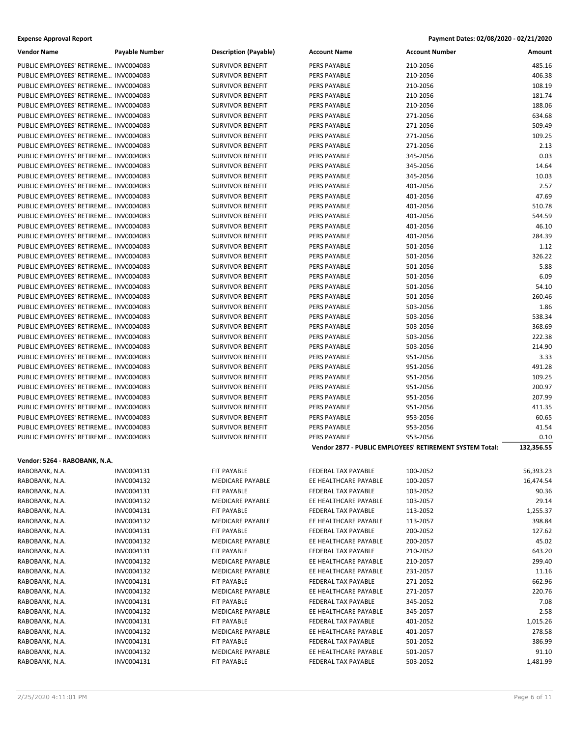| <b>Vendor Name</b>                    | <b>Payable Number</b> | <b>Description (Payable)</b> | <b>Account Name</b> | <b>Account Number</b> | Amount |
|---------------------------------------|-----------------------|------------------------------|---------------------|-----------------------|--------|
| PUBLIC EMPLOYEES' RETIREME INV0004083 |                       | <b>SURVIVOR BENEFIT</b>      | PERS PAYABLE        | 210-2056              | 485.16 |
| PUBLIC EMPLOYEES' RETIREME INV0004083 |                       | <b>SURVIVOR BENEFIT</b>      | PERS PAYABLE        | 210-2056              | 406.38 |
| PUBLIC EMPLOYEES' RETIREME INV0004083 |                       | <b>SURVIVOR BENEFIT</b>      | PERS PAYABLE        | 210-2056              | 108.19 |
| PUBLIC EMPLOYEES' RETIREME INV0004083 |                       | <b>SURVIVOR BENEFIT</b>      | PERS PAYABLE        | 210-2056              | 181.74 |
| PUBLIC EMPLOYEES' RETIREME INV0004083 |                       | <b>SURVIVOR BENEFIT</b>      | PERS PAYABLE        | 210-2056              | 188.06 |
| PUBLIC EMPLOYEES' RETIREME INV0004083 |                       | <b>SURVIVOR BENEFIT</b>      | PERS PAYABLE        | 271-2056              | 634.68 |
| PUBLIC EMPLOYEES' RETIREME INV0004083 |                       | <b>SURVIVOR BENEFIT</b>      | PERS PAYABLE        | 271-2056              | 509.49 |
| PUBLIC EMPLOYEES' RETIREME INV0004083 |                       | <b>SURVIVOR BENEFIT</b>      | PERS PAYABLE        | 271-2056              | 109.25 |
| PUBLIC EMPLOYEES' RETIREME INV0004083 |                       | <b>SURVIVOR BENEFIT</b>      | PERS PAYABLE        | 271-2056              | 2.13   |
| PUBLIC EMPLOYEES' RETIREME INV0004083 |                       | <b>SURVIVOR BENEFIT</b>      | PERS PAYABLE        | 345-2056              | 0.03   |
| PUBLIC EMPLOYEES' RETIREME INV0004083 |                       | <b>SURVIVOR BENEFIT</b>      | PERS PAYABLE        | 345-2056              | 14.64  |
| PUBLIC EMPLOYEES' RETIREME INV0004083 |                       | <b>SURVIVOR BENEFIT</b>      | PERS PAYABLE        | 345-2056              | 10.03  |
| PUBLIC EMPLOYEES' RETIREME INV0004083 |                       | <b>SURVIVOR BENEFIT</b>      | PERS PAYABLE        | 401-2056              | 2.57   |
| PUBLIC EMPLOYEES' RETIREME INV0004083 |                       | <b>SURVIVOR BENEFIT</b>      | PERS PAYABLE        | 401-2056              | 47.69  |
| PUBLIC EMPLOYEES' RETIREME INV0004083 |                       | <b>SURVIVOR BENEFIT</b>      | PERS PAYABLE        | 401-2056              | 510.78 |
| PUBLIC EMPLOYEES' RETIREME INV0004083 |                       | <b>SURVIVOR BENEFIT</b>      | PERS PAYABLE        | 401-2056              | 544.59 |
| PUBLIC EMPLOYEES' RETIREME INV0004083 |                       | <b>SURVIVOR BENEFIT</b>      | PERS PAYABLE        | 401-2056              | 46.10  |
| PUBLIC EMPLOYEES' RETIREME INV0004083 |                       | <b>SURVIVOR BENEFIT</b>      | PERS PAYABLE        | 401-2056              | 284.39 |
| PUBLIC EMPLOYEES' RETIREME INV0004083 |                       | <b>SURVIVOR BENEFIT</b>      | PERS PAYABLE        | 501-2056              | 1.12   |
| PUBLIC EMPLOYEES' RETIREME INV0004083 |                       | <b>SURVIVOR BENEFIT</b>      | PERS PAYABLE        | 501-2056              | 326.22 |
| PUBLIC EMPLOYEES' RETIREME INV0004083 |                       | <b>SURVIVOR BENEFIT</b>      | PERS PAYABLE        | 501-2056              | 5.88   |
| PUBLIC EMPLOYEES' RETIREME INV0004083 |                       | <b>SURVIVOR BENEFIT</b>      | PERS PAYABLE        | 501-2056              | 6.09   |
| PUBLIC EMPLOYEES' RETIREME INV0004083 |                       | <b>SURVIVOR BENEFIT</b>      | PERS PAYABLE        | 501-2056              | 54.10  |
| PUBLIC EMPLOYEES' RETIREME INV0004083 |                       | <b>SURVIVOR BENEFIT</b>      | PERS PAYABLE        | 501-2056              | 260.46 |
| PUBLIC EMPLOYEES' RETIREME INV0004083 |                       | <b>SURVIVOR BENEFIT</b>      | <b>PERS PAYABLE</b> | 503-2056              | 1.86   |
| PUBLIC EMPLOYEES' RETIREME INV0004083 |                       | <b>SURVIVOR BENEFIT</b>      | PERS PAYABLE        | 503-2056              | 538.34 |
| PUBLIC EMPLOYEES' RETIREME INV0004083 |                       | <b>SURVIVOR BENEFIT</b>      | PERS PAYABLE        | 503-2056              | 368.69 |
| PUBLIC EMPLOYEES' RETIREME INV0004083 |                       | <b>SURVIVOR BENEFIT</b>      | PERS PAYABLE        | 503-2056              | 222.38 |
| PUBLIC EMPLOYEES' RETIREME INV0004083 |                       | <b>SURVIVOR BENEFIT</b>      | PERS PAYABLE        | 503-2056              | 214.90 |
| PUBLIC EMPLOYEES' RETIREME INV0004083 |                       | <b>SURVIVOR BENEFIT</b>      | <b>PERS PAYABLE</b> | 951-2056              | 3.33   |
| PUBLIC EMPLOYEES' RETIREME INV0004083 |                       | <b>SURVIVOR BENEFIT</b>      | PERS PAYABLE        | 951-2056              | 491.28 |
| PUBLIC EMPLOYEES' RETIREME INV0004083 |                       | <b>SURVIVOR BENEFIT</b>      | PERS PAYABLE        | 951-2056              | 109.25 |
| PUBLIC EMPLOYEES' RETIREME INV0004083 |                       | <b>SURVIVOR BENEFIT</b>      | PERS PAYABLE        | 951-2056              | 200.97 |
| PUBLIC EMPLOYEES' RETIREME INV0004083 |                       | <b>SURVIVOR BENEFIT</b>      | PERS PAYABLE        | 951-2056              | 207.99 |
| PUBLIC EMPLOYEES' RETIREME INV0004083 |                       | <b>SURVIVOR BENEFIT</b>      | PERS PAYABLE        | 951-2056              | 411.35 |
| PUBLIC EMPLOYEES' RETIREME INV0004083 |                       | <b>SURVIVOR BENEFIT</b>      | PERS PAYABLE        | 953-2056              | 60.65  |
| PUBLIC EMPLOYEES' RETIREME INV0004083 |                       | <b>SURVIVOR BENEFIT</b>      | PERS PAYABLE        | 953-2056              | 41.54  |
| PUBLIC EMPLOYEES' RETIREME INV0004083 |                       | <b>SURVIVOR BENEFIT</b>      | <b>PERS PAYABLE</b> | 953-2056              | 0.10   |

#### **Vendor: 5264 - RABOBANK, N.A.**

| VCHUOI. JEUT TIMDODMIII, IIIM. |            |                         |                            |          |           |
|--------------------------------|------------|-------------------------|----------------------------|----------|-----------|
| RABOBANK, N.A.                 | INV0004131 | FIT PAYABLE             | <b>FEDERAL TAX PAYABLE</b> | 100-2052 | 56,393.23 |
| RABOBANK, N.A.                 | INV0004132 | <b>MEDICARE PAYABLE</b> | EE HEALTHCARE PAYABLE      | 100-2057 | 16,474.54 |
| RABOBANK, N.A.                 | INV0004131 | <b>FIT PAYABLE</b>      | <b>FEDERAL TAX PAYABLE</b> | 103-2052 | 90.36     |
| RABOBANK, N.A.                 | INV0004132 | <b>MEDICARE PAYABLE</b> | EE HEALTHCARE PAYABLE      | 103-2057 | 29.14     |
| RABOBANK, N.A.                 | INV0004131 | <b>FIT PAYABLE</b>      | FEDERAL TAX PAYABLE        | 113-2052 | 1,255.37  |
| RABOBANK, N.A.                 | INV0004132 | <b>MEDICARE PAYABLE</b> | EE HEALTHCARE PAYABLE      | 113-2057 | 398.84    |
| RABOBANK, N.A.                 | INV0004131 | <b>FIT PAYABLE</b>      | <b>FEDERAL TAX PAYABLE</b> | 200-2052 | 127.62    |
| RABOBANK, N.A.                 | INV0004132 | <b>MEDICARE PAYABLE</b> | EE HEALTHCARE PAYABLE      | 200-2057 | 45.02     |
| RABOBANK, N.A.                 | INV0004131 | <b>FIT PAYABLE</b>      | <b>FEDERAL TAX PAYABLE</b> | 210-2052 | 643.20    |
| RABOBANK, N.A.                 | INV0004132 | <b>MEDICARE PAYABLE</b> | EE HEALTHCARE PAYABLE      | 210-2057 | 299.40    |
| RABOBANK, N.A.                 | INV0004132 | <b>MEDICARE PAYABLE</b> | EE HEALTHCARE PAYABLE      | 231-2057 | 11.16     |
| RABOBANK, N.A.                 | INV0004131 | <b>FIT PAYABLE</b>      | <b>FEDERAL TAX PAYABLE</b> | 271-2052 | 662.96    |
| RABOBANK, N.A.                 | INV0004132 | <b>MEDICARE PAYABLE</b> | EE HEALTHCARE PAYABLE      | 271-2057 | 220.76    |
| RABOBANK, N.A.                 | INV0004131 | FIT PAYABLE             | <b>FEDERAL TAX PAYABLE</b> | 345-2052 | 7.08      |
| RABOBANK, N.A.                 | INV0004132 | <b>MEDICARE PAYABLE</b> | EE HEALTHCARE PAYABLE      | 345-2057 | 2.58      |
| RABOBANK, N.A.                 | INV0004131 | FIT PAYABLE             | FEDERAL TAX PAYABLE        | 401-2052 | 1,015.26  |
| RABOBANK, N.A.                 | INV0004132 | <b>MEDICARE PAYABLE</b> | EE HEALTHCARE PAYABLE      | 401-2057 | 278.58    |
| RABOBANK, N.A.                 | INV0004131 | <b>FIT PAYABLE</b>      | <b>FEDERAL TAX PAYABLE</b> | 501-2052 | 386.99    |
| RABOBANK, N.A.                 | INV0004132 | <b>MEDICARE PAYABLE</b> | EE HEALTHCARE PAYABLE      | 501-2057 | 91.10     |
| RABOBANK, N.A.                 | INV0004131 | FIT PAYABLE             | <b>FEDERAL TAX PAYABLE</b> | 503-2052 | 1,481.99  |
|                                |            |                         |                            |          |           |

#### **Expense Approval Report Payment Dates: 02/08/2020 - 02/21/2020**

**Vendor 2877 - PUBLIC EMPLOYEES' RETIREMENT SYSTEM Total: 132,356.55**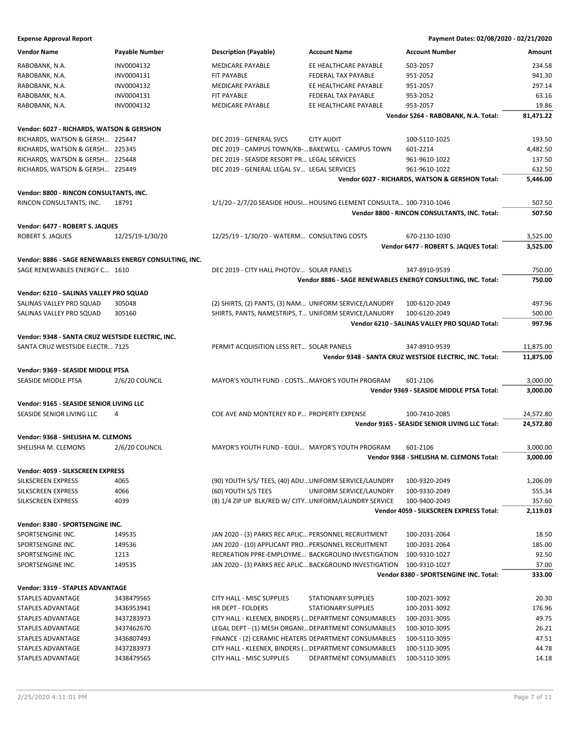**Expense Approval Report Payment Dates: 02/08/2020 - 02/21/2020**

| <b>Vendor Name</b>                                     | Payable Number   | <b>Description (Payable)</b>                            | <b>Account Name</b>                                                  | <b>Account Number</b>                                        | Amount    |
|--------------------------------------------------------|------------------|---------------------------------------------------------|----------------------------------------------------------------------|--------------------------------------------------------------|-----------|
| RABOBANK, N.A.                                         | INV0004132       | <b>MEDICARE PAYABLE</b>                                 | EE HEALTHCARE PAYABLE                                                | 503-2057                                                     | 234.58    |
| RABOBANK, N.A.                                         | INV0004131       | FIT PAYABLE                                             | FEDERAL TAX PAYABLE                                                  | 951-2052                                                     | 941.30    |
| RABOBANK, N.A.                                         | INV0004132       | MEDICARE PAYABLE                                        | EE HEALTHCARE PAYABLE                                                | 951-2057                                                     | 297.14    |
| RABOBANK, N.A.                                         | INV0004131       | FIT PAYABLE                                             | FEDERAL TAX PAYABLE                                                  | 953-2052                                                     | 63.16     |
| RABOBANK, N.A.                                         | INV0004132       | <b>MEDICARE PAYABLE</b>                                 | EE HEALTHCARE PAYABLE                                                | 953-2057                                                     | 19.86     |
|                                                        |                  |                                                         |                                                                      | Vendor 5264 - RABOBANK, N.A. Total:                          | 81,471.22 |
|                                                        |                  |                                                         |                                                                      |                                                              |           |
| Vendor: 6027 - RICHARDS, WATSON & GERSHON              |                  |                                                         |                                                                      |                                                              |           |
| RICHARDS, WATSON & GERSH 225447                        |                  | DEC 2019 - GENERAL SVCS                                 | <b>CITY AUDIT</b>                                                    | 100-5110-1025                                                | 193.50    |
| RICHARDS, WATSON & GERSH 225345                        |                  | DEC 2019 - CAMPUS TOWN/KB- BAKEWELL - CAMPUS TOWN       |                                                                      | 601-2214                                                     | 4,482.50  |
| RICHARDS, WATSON & GERSH 225448                        |                  | DEC 2019 - SEASIDE RESORT PR LEGAL SERVICES             |                                                                      | 961-9610-1022                                                | 137.50    |
| RICHARDS, WATSON & GERSH 225449                        |                  | DEC 2019 - GENERAL LEGAL SV LEGAL SERVICES              |                                                                      | 961-9610-1022                                                | 632.50    |
|                                                        |                  |                                                         |                                                                      | Vendor 6027 - RICHARDS, WATSON & GERSHON Total:              | 5,446.00  |
| Vendor: 8800 - RINCON CONSULTANTS, INC.                |                  |                                                         |                                                                      |                                                              |           |
| RINCON CONSULTANTS, INC.                               | 18791            |                                                         | 1/1/20 - 2/7/20 SEASIDE HOUSI HOUSING ELEMENT CONSULTA 100-7310-1046 |                                                              | 507.50    |
|                                                        |                  |                                                         |                                                                      | Vendor 8800 - RINCON CONSULTANTS, INC. Total:                | 507.50    |
| Vendor: 6477 - ROBERT S. JAQUES                        |                  |                                                         |                                                                      |                                                              |           |
| ROBERT S. JAQUES                                       | 12/25/19-1/30/20 | 12/25/19 - 1/30/20 - WATERM CONSULTING COSTS            |                                                                      | 670-2130-1030                                                | 3,525.00  |
|                                                        |                  |                                                         |                                                                      | Vendor 6477 - ROBERT S. JAQUES Total:                        | 3,525.00  |
| Vendor: 8886 - SAGE RENEWABLES ENERGY CONSULTING, INC. |                  |                                                         |                                                                      |                                                              |           |
| SAGE RENEWABLES ENERGY C 1610                          |                  | DEC 2019 - CITY HALL PHOTOV SOLAR PANELS                |                                                                      | 347-8910-9539                                                | 750.00    |
|                                                        |                  |                                                         |                                                                      | Vendor 8886 - SAGE RENEWABLES ENERGY CONSULTING, INC. Total: | 750.00    |
|                                                        |                  |                                                         |                                                                      |                                                              |           |
| Vendor: 6210 - SALINAS VALLEY PRO SQUAD                |                  |                                                         |                                                                      |                                                              |           |
| SALINAS VALLEY PRO SQUAD                               | 305048           | (2) SHIRTS, (2) PANTS, (3) NAM UNIFORM SERVICE/LANUDRY  |                                                                      | 100-6120-2049                                                | 497.96    |
| SALINAS VALLEY PRO SQUAD                               | 305160           | SHIRTS, PANTS, NAMESTRIPS, T UNIFORM SERVICE/LANUDRY    |                                                                      | 100-6120-2049                                                | 500.00    |
|                                                        |                  |                                                         |                                                                      | Vendor 6210 - SALINAS VALLEY PRO SQUAD Total:                | 997.96    |
| Vendor: 9348 - SANTA CRUZ WESTSIDE ELECTRIC, INC.      |                  |                                                         |                                                                      |                                                              |           |
| SANTA CRUZ WESTSIDE ELECTR 7125                        |                  | PERMIT ACQUISITION LESS RET SOLAR PANELS                |                                                                      | 347-8910-9539                                                | 11,875.00 |
|                                                        |                  |                                                         |                                                                      | Vendor 9348 - SANTA CRUZ WESTSIDE ELECTRIC, INC. Total:      | 11,875.00 |
| Vendor: 9369 - SEASIDE MIDDLE PTSA                     |                  |                                                         |                                                                      |                                                              |           |
| SEASIDE MIDDLE PTSA                                    | 2/6/20 COUNCIL   | MAYOR'S YOUTH FUND - COSTS MAYOR'S YOUTH PROGRAM        |                                                                      | 601-2106                                                     | 3,000.00  |
|                                                        |                  |                                                         |                                                                      | Vendor 9369 - SEASIDE MIDDLE PTSA Total:                     | 3,000.00  |
|                                                        |                  |                                                         |                                                                      |                                                              |           |
| Vendor: 9165 - SEASIDE SENIOR LIVING LLC               |                  |                                                         |                                                                      |                                                              |           |
| SEASIDE SENIOR LIVING LLC                              | 4                | COE AVE AND MONTEREY RD P PROPERTY EXPENSE              |                                                                      | 100-7410-2085                                                | 24,572.80 |
|                                                        |                  |                                                         |                                                                      | Vendor 9165 - SEASIDE SENIOR LIVING LLC Total:               | 24,572.80 |
| Vendor: 9368 - SHELISHA M. CLEMONS                     |                  |                                                         |                                                                      |                                                              |           |
| SHELISHA M. CLEMONS                                    | 2/6/20 COUNCIL   | MAYOR'S YOUTH FUND - EQUI MAYOR'S YOUTH PROGRAM         |                                                                      | 601-2106                                                     | 3,000.00  |
|                                                        |                  |                                                         |                                                                      | Vendor 9368 - SHELISHA M. CLEMONS Total:                     | 3,000.00  |
| Vendor: 4059 - SILKSCREEN EXPRESS                      |                  |                                                         |                                                                      |                                                              |           |
| SILKSCREEN EXPRESS                                     | 4065             | (90) YOUTH S/S/ TEES, (40) ADUUNIFORM SERVICE/LAUNDRY   |                                                                      | 100-9320-2049                                                | 1,206.09  |
| SILKSCREEN EXPRESS                                     | 4066             | (60) YOUTH S/S TEES                                     | UNIFORM SERVICE/LAUNDRY                                              | 100-9330-2049                                                | 555.34    |
| SILKSCREEN EXPRESS                                     | 4039             | (8) 1/4 ZIP UP BLK/RED W/ CITY UNIFORM/LAUNDRY SERVICE  |                                                                      | 100-9400-2049                                                | 357.60    |
|                                                        |                  |                                                         |                                                                      | Vendor 4059 - SILKSCREEN EXPRESS Total:                      | 2,119.03  |
|                                                        |                  |                                                         |                                                                      |                                                              |           |
| Vendor: 8380 - SPORTSENGINE INC.                       |                  |                                                         |                                                                      |                                                              |           |
| SPORTSENGINE INC.                                      | 149535           | JAN 2020 - (3) PARKS REC APLIC PERSONNEL RECRUITMENT    |                                                                      | 100-2031-2064                                                | 18.50     |
| SPORTSENGINE INC.                                      | 149536           | JAN 2020 - (10) APPLICANT PRO PERSONNEL RECRUITMENT     |                                                                      | 100-2031-2064                                                | 185.00    |
| SPORTSENGINE INC.                                      | 1213             | RECREATION PPRE-EMPLOYME BACKGROUND INVESTIGATION       |                                                                      | 100-9310-1027                                                | 92.50     |
| SPORTSENGINE INC.                                      | 149535           | JAN 2020 - (3) PARKS REC APLIC BACKGROUND INVESTIGATION |                                                                      | 100-9310-1027                                                | 37.00     |
|                                                        |                  |                                                         |                                                                      | Vendor 8380 - SPORTSENGINE INC. Total:                       | 333.00    |
| Vendor: 3319 - STAPLES ADVANTAGE                       |                  |                                                         |                                                                      |                                                              |           |
| STAPLES ADVANTAGE                                      | 3438479565       | CITY HALL - MISC SUPPLIES                               | <b>STATIONARY SUPPLIES</b>                                           | 100-2021-3092                                                | 20.30     |
| STAPLES ADVANTAGE                                      | 3436953941       | HR DEPT - FOLDERS                                       | <b>STATIONARY SUPPLIES</b>                                           | 100-2031-3092                                                | 176.96    |
| STAPLES ADVANTAGE                                      | 3437283973       | CITY HALL - KLEENEX, BINDERS ( DEPARTMENT CONSUMABLES   |                                                                      | 100-2031-3095                                                | 49.75     |
| STAPLES ADVANTAGE                                      | 3437462670       | LEGAL DEPT - (1) MESH ORGANI DEPARTMENT CONSUMABLES     |                                                                      | 100-3010-3095                                                | 26.21     |
| STAPLES ADVANTAGE                                      | 3436807493       | FINANCE - (2) CERAMIC HEATERS DEPARTMENT CONSUMABLES    |                                                                      | 100-5110-3095                                                | 47.51     |
| STAPLES ADVANTAGE                                      | 3437283973       | CITY HALL - KLEENEX, BINDERS ( DEPARTMENT CONSUMABLES   |                                                                      | 100-5110-3095                                                | 44.78     |
| STAPLES ADVANTAGE                                      | 3438479565       | CITY HALL - MISC SUPPLIES                               | DEPARTMENT CONSUMABLES                                               | 100-5110-3095                                                | 14.18     |
|                                                        |                  |                                                         |                                                                      |                                                              |           |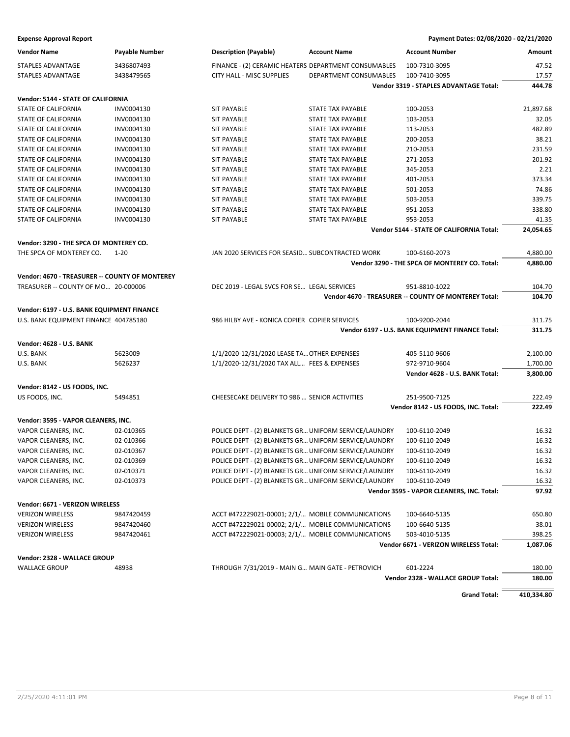### **Expense Approval Report Payment Dates: 02/08/2020 - 02/21/2020**

| <b>Vendor Name</b>                             | Payable Number | <b>Description (Payable)</b>                          | <b>Account Name</b>      | <b>Account Number</b>                                | Amount     |
|------------------------------------------------|----------------|-------------------------------------------------------|--------------------------|------------------------------------------------------|------------|
| STAPLES ADVANTAGE                              | 3436807493     | FINANCE - (2) CERAMIC HEATERS DEPARTMENT CONSUMABLES  |                          | 100-7310-3095                                        | 47.52      |
| STAPLES ADVANTAGE                              | 3438479565     | CITY HALL - MISC SUPPLIES                             | DEPARTMENT CONSUMABLES   | 100-7410-3095                                        | 17.57      |
|                                                |                |                                                       |                          | Vendor 3319 - STAPLES ADVANTAGE Total:               | 444.78     |
| Vendor: 5144 - STATE OF CALIFORNIA             |                |                                                       |                          |                                                      |            |
| <b>STATE OF CALIFORNIA</b>                     | INV0004130     | <b>SIT PAYABLE</b>                                    | STATE TAX PAYABLE        | 100-2053                                             | 21,897.68  |
| STATE OF CALIFORNIA                            | INV0004130     | <b>SIT PAYABLE</b>                                    | <b>STATE TAX PAYABLE</b> | 103-2053                                             | 32.05      |
| STATE OF CALIFORNIA                            | INV0004130     | <b>SIT PAYABLE</b>                                    | <b>STATE TAX PAYABLE</b> | 113-2053                                             | 482.89     |
| STATE OF CALIFORNIA                            | INV0004130     | <b>SIT PAYABLE</b>                                    | <b>STATE TAX PAYABLE</b> | 200-2053                                             | 38.21      |
| STATE OF CALIFORNIA                            | INV0004130     | <b>SIT PAYABLE</b>                                    | STATE TAX PAYABLE        | 210-2053                                             | 231.59     |
| <b>STATE OF CALIFORNIA</b>                     | INV0004130     | <b>SIT PAYABLE</b>                                    | <b>STATE TAX PAYABLE</b> | 271-2053                                             | 201.92     |
| STATE OF CALIFORNIA                            | INV0004130     | <b>SIT PAYABLE</b>                                    | <b>STATE TAX PAYABLE</b> | 345-2053                                             | 2.21       |
| STATE OF CALIFORNIA                            | INV0004130     | <b>SIT PAYABLE</b>                                    | <b>STATE TAX PAYABLE</b> | 401-2053                                             | 373.34     |
| STATE OF CALIFORNIA                            | INV0004130     | <b>SIT PAYABLE</b>                                    | <b>STATE TAX PAYABLE</b> | 501-2053                                             | 74.86      |
|                                                |                |                                                       | STATE TAX PAYABLE        |                                                      | 339.75     |
| STATE OF CALIFORNIA                            | INV0004130     | <b>SIT PAYABLE</b>                                    |                          | 503-2053                                             |            |
| STATE OF CALIFORNIA                            | INV0004130     | <b>SIT PAYABLE</b>                                    | <b>STATE TAX PAYABLE</b> | 951-2053                                             | 338.80     |
| STATE OF CALIFORNIA                            | INV0004130     | <b>SIT PAYABLE</b>                                    | <b>STATE TAX PAYABLE</b> | 953-2053                                             | 41.35      |
|                                                |                |                                                       |                          | <b>Vendor 5144 - STATE OF CALIFORNIA Total:</b>      | 24,054.65  |
| Vendor: 3290 - THE SPCA OF MONTEREY CO.        |                |                                                       |                          |                                                      |            |
| THE SPCA OF MONTEREY CO.                       | $1 - 20$       | JAN 2020 SERVICES FOR SEASID SUBCONTRACTED WORK       |                          | 100-6160-2073                                        | 4,880.00   |
|                                                |                |                                                       |                          | Vendor 3290 - THE SPCA OF MONTEREY CO. Total:        | 4,880.00   |
| Vendor: 4670 - TREASURER -- COUNTY OF MONTEREY |                |                                                       |                          |                                                      |            |
| TREASURER -- COUNTY OF MO 20-000006            |                | DEC 2019 - LEGAL SVCS FOR SE LEGAL SERVICES           |                          | 951-8810-1022                                        | 104.70     |
|                                                |                |                                                       |                          | Vendor 4670 - TREASURER -- COUNTY OF MONTEREY Total: | 104.70     |
| Vendor: 6197 - U.S. BANK EQUIPMENT FINANCE     |                |                                                       |                          |                                                      |            |
| U.S. BANK EQUIPMENT FINANCE 404785180          |                | 986 HILBY AVE - KONICA COPIER COPIER SERVICES         |                          | 100-9200-2044                                        | 311.75     |
|                                                |                |                                                       |                          | Vendor 6197 - U.S. BANK EQUIPMENT FINANCE Total:     | 311.75     |
|                                                |                |                                                       |                          |                                                      |            |
| <b>Vendor: 4628 - U.S. BANK</b>                |                |                                                       |                          |                                                      |            |
| U.S. BANK                                      | 5623009        | 1/1/2020-12/31/2020 LEASE TA OTHER EXPENSES           |                          | 405-5110-9606                                        | 2,100.00   |
| U.S. BANK                                      | 5626237        | 1/1/2020-12/31/2020 TAX ALL FEES & EXPENSES           |                          | 972-9710-9604                                        | 1,700.00   |
|                                                |                |                                                       |                          | Vendor 4628 - U.S. BANK Total:                       | 3,800.00   |
| Vendor: 8142 - US FOODS, INC.                  |                |                                                       |                          |                                                      |            |
| US FOODS, INC.                                 | 5494851        | CHEESECAKE DELIVERY TO 986  SENIOR ACTIVITIES         |                          | 251-9500-7125                                        | 222.49     |
|                                                |                |                                                       |                          | Vendor 8142 - US FOODS, INC. Total:                  | 222.49     |
| Vendor: 3595 - VAPOR CLEANERS, INC.            |                |                                                       |                          |                                                      |            |
| VAPOR CLEANERS, INC.                           | 02-010365      | POLICE DEPT - (2) BLANKETS GR UNIFORM SERVICE/LAUNDRY |                          | 100-6110-2049                                        | 16.32      |
| VAPOR CLEANERS, INC.                           | 02-010366      | POLICE DEPT - (2) BLANKETS GR UNIFORM SERVICE/LAUNDRY |                          | 100-6110-2049                                        | 16.32      |
| VAPOR CLEANERS, INC.                           | 02-010367      | POLICE DEPT - (2) BLANKETS GR UNIFORM SERVICE/LAUNDRY |                          | 100-6110-2049                                        | 16.32      |
| VAPOR CLEANERS, INC.                           | 02-010369      | POLICE DEPT - (2) BLANKETS GR UNIFORM SERVICE/LAUNDRY |                          | 100-6110-2049                                        | 16.32      |
| VAPOR CLEANERS, INC.                           | 02-010371      | POLICE DEPT - (2) BLANKETS GR UNIFORM SERVICE/LAUNDRY |                          | 100-6110-2049                                        | 16.32      |
| VAPOR CLEANERS, INC.                           | 02-010373      | POLICE DEPT - (2) BLANKETS GR UNIFORM SERVICE/LAUNDRY |                          | 100-6110-2049                                        | 16.32      |
|                                                |                |                                                       |                          | Vendor 3595 - VAPOR CLEANERS, INC. Total:            | 97.92      |
|                                                |                |                                                       |                          |                                                      |            |
| Vendor: 6671 - VERIZON WIRELESS                |                |                                                       |                          |                                                      |            |
| <b>VERIZON WIRELESS</b>                        | 9847420459     | ACCT #472229021-00001; 2/1/ MOBILE COMMUNICATIONS     |                          | 100-6640-5135                                        | 650.80     |
| <b>VERIZON WIRELESS</b>                        | 9847420460     | ACCT #472229021-00002; 2/1/ MOBILE COMMUNICATIONS     |                          | 100-6640-5135                                        | 38.01      |
| <b>VERIZON WIRELESS</b>                        | 9847420461     | ACCT #472229021-00003; 2/1/ MOBILE COMMUNICATIONS     |                          | 503-4010-5135                                        | 398.25     |
|                                                |                |                                                       |                          | Vendor 6671 - VERIZON WIRELESS Total:                | 1,087.06   |
| Vendor: 2328 - WALLACE GROUP                   |                |                                                       |                          |                                                      |            |
| <b>WALLACE GROUP</b>                           | 48938          | THROUGH 7/31/2019 - MAIN G MAIN GATE - PETROVICH      |                          | 601-2224                                             | 180.00     |
|                                                |                |                                                       |                          | Vendor 2328 - WALLACE GROUP Total:                   | 180.00     |
|                                                |                |                                                       |                          |                                                      |            |
|                                                |                |                                                       |                          | <b>Grand Total:</b>                                  | 410,334.80 |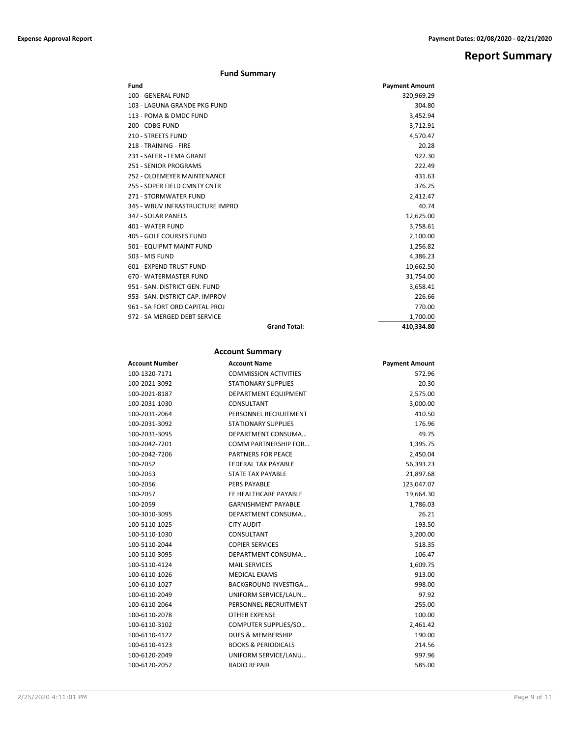## **Report Summary**

### **Fund Summary**

| Fund                            |                     | <b>Payment Amount</b> |
|---------------------------------|---------------------|-----------------------|
| 100 - GENERAL FUND              |                     | 320,969.29            |
| 103 - LAGUNA GRANDE PKG FUND    |                     | 304.80                |
| 113 - POMA & DMDC FUND          |                     | 3,452.94              |
| 200 - CDBG FUND                 |                     | 3,712.91              |
| 210 - STREETS FUND              |                     | 4,570.47              |
| 218 - TRAINING - FIRE           |                     | 20.28                 |
| 231 - SAFER - FEMA GRANT        |                     | 922.30                |
| 251 - SENIOR PROGRAMS           |                     | 222.49                |
| 252 - OLDEMEYER MAINTENANCE     |                     | 431.63                |
| 255 - SOPER FIELD CMNTY CNTR    |                     | 376.25                |
| 271 - STORMWATER FUND           |                     | 2,412.47              |
| 345 - WBUV INFRASTRUCTURE IMPRO |                     | 40.74                 |
| 347 - SOLAR PANELS              |                     | 12,625.00             |
| 401 - WATER FUND                |                     | 3,758.61              |
| 405 - GOLF COURSES FUND         |                     | 2,100.00              |
| 501 - EQUIPMT MAINT FUND        |                     | 1,256.82              |
| 503 - MIS FUND                  |                     | 4,386.23              |
| 601 - EXPEND TRUST FUND         |                     | 10,662.50             |
| 670 - WATERMASTER FUND          |                     | 31,754.00             |
| 951 - SAN, DISTRICT GEN, FUND   |                     | 3,658.41              |
| 953 - SAN, DISTRICT CAP, IMPROV |                     | 226.66                |
| 961 - SA FORT ORD CAPITAL PROJ  |                     | 770.00                |
| 972 - SA MERGED DEBT SERVICE    |                     | 1,700.00              |
|                                 | <b>Grand Total:</b> | 410.334.80            |

### **Account Summary**

| Account Number | <b>Account Name</b>            | <b>Payment Amount</b> |
|----------------|--------------------------------|-----------------------|
| 100-1320-7171  | <b>COMMISSION ACTIVITIES</b>   | 572.96                |
| 100-2021-3092  | <b>STATIONARY SUPPLIES</b>     | 20.30                 |
| 100-2021-8187  | <b>DEPARTMENT EQUIPMENT</b>    | 2,575.00              |
| 100-2031-1030  | CONSULTANT                     | 3,000.00              |
| 100-2031-2064  | PERSONNEL RECRUITMENT          | 410.50                |
| 100-2031-3092  | <b>STATIONARY SUPPLIES</b>     | 176.96                |
| 100-2031-3095  | DEPARTMENT CONSUMA             | 49.75                 |
| 100-2042-7201  | COMM PARTNERSHIP FOR           | 1,395.75              |
| 100-2042-7206  | <b>PARTNERS FOR PEACE</b>      | 2,450.04              |
| 100-2052       | <b>FEDERAL TAX PAYABLE</b>     | 56,393.23             |
| 100-2053       | <b>STATE TAX PAYABLE</b>       | 21,897.68             |
| 100-2056       | <b>PERS PAYABLE</b>            | 123,047.07            |
| 100-2057       | EE HEALTHCARE PAYABLE          | 19,664.30             |
| 100-2059       | <b>GARNISHMENT PAYABLE</b>     | 1,786.03              |
| 100-3010-3095  | DEPARTMENT CONSUMA             | 26.21                 |
| 100-5110-1025  | <b>CITY AUDIT</b>              | 193.50                |
| 100-5110-1030  | CONSULTANT                     | 3,200.00              |
| 100-5110-2044  | <b>COPIER SERVICES</b>         | 518.35                |
| 100-5110-3095  | DEPARTMENT CONSUMA             | 106.47                |
| 100-5110-4124  | <b>MAIL SERVICES</b>           | 1,609.75              |
| 100-6110-1026  | <b>MEDICAL EXAMS</b>           | 913.00                |
| 100-6110-1027  | <b>BACKGROUND INVESTIGA</b>    | 998.00                |
| 100-6110-2049  | UNIFORM SERVICE/LAUN           | 97.92                 |
| 100-6110-2064  | PERSONNEL RECRUITMENT          | 255.00                |
| 100-6110-2078  | <b>OTHER EXPENSE</b>           | 100.00                |
| 100-6110-3102  | COMPUTER SUPPLIES/SO           | 2,461.42              |
| 100-6110-4122  | <b>DUES &amp; MEMBERSHIP</b>   | 190.00                |
| 100-6110-4123  | <b>BOOKS &amp; PERIODICALS</b> | 214.56                |
| 100-6120-2049  | UNIFORM SERVICE/LANU           | 997.96                |
| 100-6120-2052  | <b>RADIO REPAIR</b>            | 585.00                |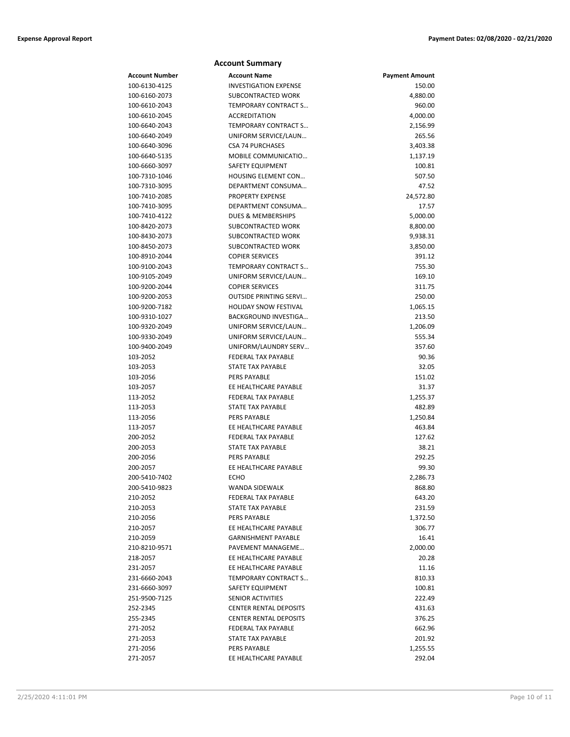|                           | <b>Account Summary</b>                |                       |
|---------------------------|---------------------------------------|-----------------------|
| <b>Account Number</b>     | <b>Account Name</b>                   | <b>Payment Amount</b> |
| 100-6130-4125             | <b>INVESTIGATION EXPENSE</b>          | 150.00                |
| 100-6160-2073             | SUBCONTRACTED WORK                    | 4,880.00              |
| 100-6610-2043             | TEMPORARY CONTRACT S                  | 960.00                |
| 100-6610-2045             | <b>ACCREDITATION</b>                  | 4,000.00              |
| 100-6640-2043             | TEMPORARY CONTRACT S                  | 2,156.99              |
| 100-6640-2049             | UNIFORM SERVICE/LAUN                  | 265.56                |
| 100-6640-3096             | <b>CSA 74 PURCHASES</b>               | 3,403.38              |
| 100-6640-5135             | MOBILE COMMUNICATIO                   | 1,137.19              |
| 100-6660-3097             | SAFETY EQUIPMENT                      | 100.81                |
| 100-7310-1046             | <b>HOUSING ELEMENT CON</b>            | 507.50                |
| 100-7310-3095             | DEPARTMENT CONSUMA                    | 47.52                 |
| 100-7410-2085             | <b>PROPERTY EXPENSE</b>               | 24,572.80             |
| 100-7410-3095             | DEPARTMENT CONSUMA                    | 17.57                 |
| 100-7410-4122             | <b>DUES &amp; MEMBERSHIPS</b>         | 5,000.00              |
| 100-8420-2073             | SUBCONTRACTED WORK                    | 8,800.00              |
| 100-8430-2073             | SUBCONTRACTED WORK                    | 9,938.31              |
| 100-8450-2073             | SUBCONTRACTED WORK                    | 3,850.00              |
| 100-8910-2044             | <b>COPIER SERVICES</b>                | 391.12                |
| 100-9100-2043             | TEMPORARY CONTRACT S                  | 755.30                |
| 100-9105-2049             | UNIFORM SERVICE/LAUN                  | 169.10                |
| 100-9200-2044             | <b>COPIER SERVICES</b>                | 311.75                |
| 100-9200-2053             | <b>OUTSIDE PRINTING SERVI</b>         | 250.00                |
| 100-9200-7182             | <b>HOLIDAY SNOW FESTIVAL</b>          | 1,065.15              |
| 100-9310-1027             | BACKGROUND INVESTIGA                  | 213.50                |
| 100-9320-2049             | UNIFORM SERVICE/LAUN                  | 1,206.09              |
| 100-9330-2049             | UNIFORM SERVICE/LAUN                  | 555.34                |
| 100-9400-2049             | UNIFORM/LAUNDRY SERV                  | 357.60                |
| 103-2052                  | FEDERAL TAX PAYABLE                   | 90.36                 |
| 103-2053                  | <b>STATE TAX PAYABLE</b>              | 32.05                 |
| 103-2056                  | <b>PERS PAYABLE</b>                   | 151.02                |
| 103-2057                  | EE HEALTHCARE PAYABLE                 | 31.37                 |
| 113-2052                  | <b>FEDERAL TAX PAYABLE</b>            | 1,255.37              |
| 113-2053                  | <b>STATE TAX PAYABLE</b>              | 482.89                |
| 113-2056                  | <b>PERS PAYABLE</b>                   | 1,250.84              |
| 113-2057                  | EE HEALTHCARE PAYABLE                 | 463.84                |
| 200-2052                  | <b>FEDERAL TAX PAYABLE</b>            | 127.62                |
| 200-2053                  | STATE TAX PAYABLE                     | 38.21                 |
| 200-2056                  | PERS PAYABLE                          | 292.25                |
| 200-2057                  | EE HEALTHCARE PAYABLE                 | 99.30                 |
| 200-5410-7402             | ECHO                                  | 2,286.73              |
| 200-5410-9823             | <b>WANDA SIDEWALK</b>                 | 868.80                |
| 210-2052                  | FEDERAL TAX PAYABLE                   | 643.20                |
| 210-2053                  | <b>STATE TAX PAYABLE</b>              | 231.59                |
| 210-2056                  | PERS PAYABLE<br>EE HEALTHCARE PAYABLE | 1,372.50              |
| 210-2057                  | <b>GARNISHMENT PAYABLE</b>            | 306.77                |
| 210-2059<br>210-8210-9571 | PAVEMENT MANAGEME                     | 16.41                 |
|                           | EE HEALTHCARE PAYABLE                 | 2,000.00<br>20.28     |
| 218-2057<br>231-2057      | EE HEALTHCARE PAYABLE                 | 11.16                 |
| 231-6660-2043             | TEMPORARY CONTRACT S                  | 810.33                |
| 231-6660-3097             | SAFETY EQUIPMENT                      | 100.81                |
| 251-9500-7125             | SENIOR ACTIVITIES                     | 222.49                |
| 252-2345                  | <b>CENTER RENTAL DEPOSITS</b>         | 431.63                |
| 255-2345                  | <b>CENTER RENTAL DEPOSITS</b>         | 376.25                |
| 271-2052                  | FEDERAL TAX PAYABLE                   | 662.96                |
| 271-2053                  | <b>STATE TAX PAYABLE</b>              | 201.92                |
| 271-2056                  | <b>PERS PAYABLE</b>                   | 1,255.55              |
| 271-2057                  | EE HEALTHCARE PAYABLE                 | 292.04                |
|                           |                                       |                       |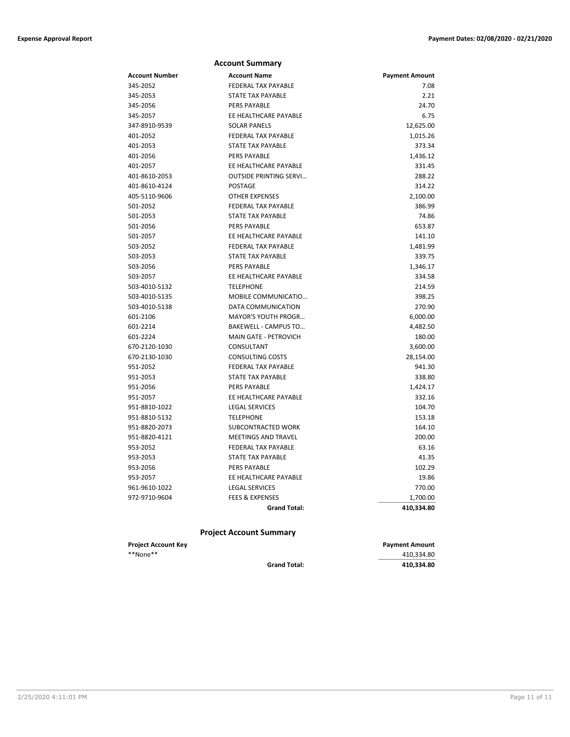|                | <b>Account Summary</b>        |                       |
|----------------|-------------------------------|-----------------------|
| Account Number | <b>Account Name</b>           | <b>Payment Amount</b> |
| 345-2052       | <b>FEDERAL TAX PAYABLE</b>    | 7.08                  |
| 345-2053       | <b>STATE TAX PAYABLE</b>      | 2.21                  |
| 345-2056       | PERS PAYABLE                  | 24.70                 |
| 345-2057       | EE HEALTHCARE PAYABLE         | 6.75                  |
| 347-8910-9539  | <b>SOLAR PANELS</b>           | 12,625.00             |
| 401-2052       | <b>FEDERAL TAX PAYABLE</b>    | 1,015.26              |
| 401-2053       | <b>STATE TAX PAYABLE</b>      | 373.34                |
| 401-2056       | <b>PERS PAYABLE</b>           | 1,436.12              |
| 401-2057       | EE HEALTHCARE PAYABLE         | 331.45                |
| 401-8610-2053  | <b>OUTSIDE PRINTING SERVI</b> | 288.22                |
| 401-8610-4124  | <b>POSTAGE</b>                | 314.22                |
| 405-5110-9606  | <b>OTHER EXPENSES</b>         | 2,100.00              |
| 501-2052       | <b>FEDERAL TAX PAYABLE</b>    | 386.99                |
| 501-2053       | <b>STATE TAX PAYABLE</b>      | 74.86                 |
| 501-2056       | <b>PERS PAYABLE</b>           | 653.87                |
| 501-2057       | EE HEALTHCARE PAYABLE         | 141.10                |
| 503-2052       | <b>FEDERAL TAX PAYABLE</b>    | 1,481.99              |
| 503-2053       | <b>STATE TAX PAYABLE</b>      | 339.75                |
| 503-2056       | <b>PERS PAYABLE</b>           | 1,346.17              |
| 503-2057       | EE HEALTHCARE PAYABLE         | 334.58                |
| 503-4010-5132  | <b>TELEPHONE</b>              | 214.59                |
| 503-4010-5135  | MOBILE COMMUNICATIO           | 398.25                |
| 503-4010-5138  | DATA COMMUNICATION            | 270.90                |
| 601-2106       | <b>MAYOR'S YOUTH PROGR</b>    | 6,000.00              |
| 601-2214       | BAKEWELL - CAMPUS TO          | 4,482.50              |
| 601-2224       | <b>MAIN GATE - PETROVICH</b>  | 180.00                |
| 670-2120-1030  | CONSULTANT                    | 3,600.00              |
| 670-2130-1030  | <b>CONSULTING COSTS</b>       | 28,154.00             |
| 951-2052       | <b>FEDERAL TAX PAYABLE</b>    | 941.30                |
| 951-2053       | <b>STATE TAX PAYABLE</b>      | 338.80                |
| 951-2056       | <b>PERS PAYABLE</b>           | 1,424.17              |
| 951-2057       | EE HEALTHCARE PAYABLE         | 332.16                |
| 951-8810-1022  | <b>LEGAL SERVICES</b>         | 104.70                |
| 951-8810-5132  | <b>TELEPHONE</b>              | 153.18                |
| 951-8820-2073  | SUBCONTRACTED WORK            | 164.10                |
| 951-8820-4121  | <b>MEETINGS AND TRAVEL</b>    | 200.00                |
| 953-2052       | <b>FEDERAL TAX PAYABLE</b>    | 63.16                 |
| 953-2053       | <b>STATE TAX PAYABLE</b>      | 41.35                 |
| 953-2056       | <b>PERS PAYABLE</b>           | 102.29                |
| 953-2057       | EE HEALTHCARE PAYABLE         | 19.86                 |
| 961-9610-1022  | <b>LEGAL SERVICES</b>         | 770.00                |
| 972-9710-9604  | <b>FEES &amp; EXPENSES</b>    | 1,700.00              |
|                | <b>Grand Total:</b>           | 410,334.80            |
|                |                               |                       |

### **Project Account Summary**

| <b>Project Account Key</b> |                     | <b>Payment Amount</b> |
|----------------------------|---------------------|-----------------------|
| **None**                   |                     | 410.334.80            |
|                            | <b>Grand Total:</b> | 410.334.80            |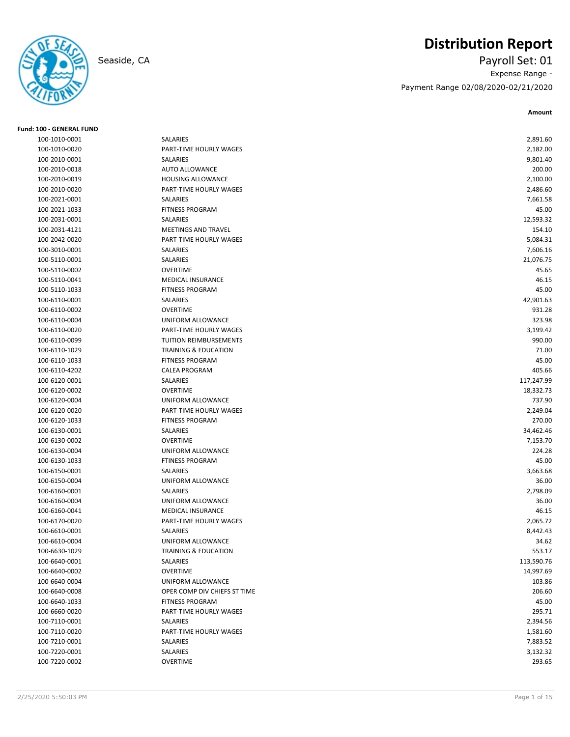

## **Distribution Report**

Seaside, CA Payroll Set: 01 Expense Range - Payment Range 02/08/2020-02/21/2020

**Amount**

| <b>Fund: 100 - GENERAL FUND</b> |                                 |            |
|---------------------------------|---------------------------------|------------|
| 100-1010-0001                   | SALARIES                        | 2,891.60   |
| 100-1010-0020                   | PART-TIME HOURLY WAGES          | 2,182.00   |
| 100-2010-0001                   | SALARIES                        | 9,801.40   |
| 100-2010-0018                   | <b>AUTO ALLOWANCE</b>           | 200.00     |
| 100-2010-0019                   | <b>HOUSING ALLOWANCE</b>        | 2,100.00   |
| 100-2010-0020                   | PART-TIME HOURLY WAGES          | 2,486.60   |
| 100-2021-0001                   | SALARIES                        | 7,661.58   |
| 100-2021-1033                   | <b>FITNESS PROGRAM</b>          | 45.00      |
| 100-2031-0001                   | SALARIES                        | 12,593.32  |
| 100-2031-4121                   | MEETINGS AND TRAVEL             | 154.10     |
| 100-2042-0020                   | PART-TIME HOURLY WAGES          | 5,084.31   |
| 100-3010-0001                   | SALARIES                        | 7,606.16   |
| 100-5110-0001                   | SALARIES                        | 21,076.75  |
| 100-5110-0002                   | <b>OVERTIME</b>                 | 45.65      |
| 100-5110-0041                   | <b>MEDICAL INSURANCE</b>        | 46.15      |
| 100-5110-1033                   | <b>FITNESS PROGRAM</b>          | 45.00      |
| 100-6110-0001                   | SALARIES                        | 42,901.63  |
| 100-6110-0002                   | <b>OVERTIME</b>                 | 931.28     |
| 100-6110-0004                   | UNIFORM ALLOWANCE               | 323.98     |
| 100-6110-0020                   | PART-TIME HOURLY WAGES          | 3,199.42   |
| 100-6110-0099                   | TUITION REIMBURSEMENTS          | 990.00     |
| 100-6110-1029                   | <b>TRAINING &amp; EDUCATION</b> | 71.00      |
| 100-6110-1033                   | <b>FITNESS PROGRAM</b>          | 45.00      |
| 100-6110-4202                   | <b>CALEA PROGRAM</b>            | 405.66     |
| 100-6120-0001                   | SALARIES                        | 117,247.99 |
| 100-6120-0002                   | <b>OVERTIME</b>                 | 18,332.73  |
| 100-6120-0004                   | UNIFORM ALLOWANCE               | 737.90     |
| 100-6120-0020                   | PART-TIME HOURLY WAGES          | 2,249.04   |
| 100-6120-1033                   | <b>FITNESS PROGRAM</b>          | 270.00     |
| 100-6130-0001                   | SALARIES                        | 34,462.46  |
| 100-6130-0002                   | <b>OVERTIME</b>                 | 7,153.70   |
| 100-6130-0004                   | UNIFORM ALLOWANCE               | 224.28     |
| 100-6130-1033                   | <b>FTINESS PROGRAM</b>          | 45.00      |
| 100-6150-0001                   | SALARIES                        | 3,663.68   |
| 100-6150-0004                   | UNIFORM ALLOWANCE               | 36.00      |
| 100-6160-0001                   | SALARIES                        | 2,798.09   |
| 100-6160-0004                   | UNIFORM ALLOWANCE               | 36.00      |
| 100-6160-0041                   | <b>MEDICAL INSURANCE</b>        | 46.15      |
| 100-6170-0020                   | PART-TIME HOURLY WAGES          | 2,065.72   |
| 100-6610-0001                   | SALARIES                        | 8,442.43   |
| 100-6610-0004                   | UNIFORM ALLOWANCE               | 34.62      |
| 100-6630-1029                   | <b>TRAINING &amp; EDUCATION</b> | 553.17     |
| 100-6640-0001                   | SALARIES                        | 113,590.76 |
| 100-6640-0002                   | <b>OVERTIME</b>                 | 14,997.69  |
| 100-6640-0004                   | UNIFORM ALLOWANCE               | 103.86     |
| 100-6640-0008                   | OPER COMP DIV CHIEFS ST TIME    | 206.60     |
| 100-6640-1033                   | <b>FITNESS PROGRAM</b>          | 45.00      |
| 100-6660-0020                   | PART-TIME HOURLY WAGES          | 295.71     |
| 100-7110-0001                   | SALARIES                        | 2,394.56   |
| 100-7110-0020                   | PART-TIME HOURLY WAGES          | 1,581.60   |
| 100-7210-0001                   | SALARIES                        | 7,883.52   |
| 100-7220-0001                   | SALARIES                        | 3,132.32   |
| 100-7220-0002                   | OVERTIME                        | 293.65     |
|                                 |                                 |            |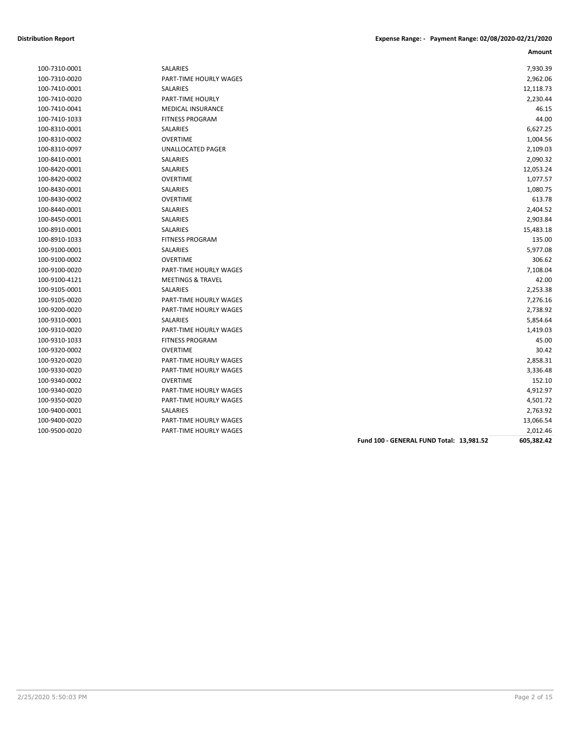|               |                               |                                          | Amount     |
|---------------|-------------------------------|------------------------------------------|------------|
| 100-7310-0001 | SALARIES                      |                                          | 7,930.39   |
| 100-7310-0020 | PART-TIME HOURLY WAGES        |                                          | 2,962.06   |
| 100-7410-0001 | SALARIES                      |                                          | 12,118.73  |
| 100-7410-0020 | <b>PART-TIME HOURLY</b>       |                                          | 2.230.44   |
| 100-7410-0041 | <b>MEDICAL INSURANCE</b>      |                                          | 46.15      |
| 100-7410-1033 | <b>FITNESS PROGRAM</b>        |                                          | 44.00      |
| 100-8310-0001 | <b>SALARIES</b>               |                                          | 6,627.25   |
| 100-8310-0002 | <b>OVERTIME</b>               |                                          | 1,004.56   |
| 100-8310-0097 | UNALLOCATED PAGER             |                                          | 2,109.03   |
| 100-8410-0001 | SALARIES                      |                                          | 2,090.32   |
| 100-8420-0001 | <b>SALARIES</b>               |                                          | 12,053.24  |
| 100-8420-0002 | <b>OVERTIME</b>               |                                          | 1,077.57   |
| 100-8430-0001 | SALARIES                      |                                          | 1,080.75   |
| 100-8430-0002 | <b>OVERTIME</b>               |                                          | 613.78     |
| 100-8440-0001 | <b>SALARIES</b>               |                                          | 2,404.52   |
| 100-8450-0001 | <b>SALARIES</b>               |                                          | 2,903.84   |
| 100-8910-0001 | <b>SALARIES</b>               |                                          | 15,483.18  |
| 100-8910-1033 | <b>FITNESS PROGRAM</b>        |                                          | 135.00     |
| 100-9100-0001 | <b>SALARIES</b>               |                                          | 5,977.08   |
| 100-9100-0002 | <b>OVERTIME</b>               |                                          | 306.62     |
| 100-9100-0020 | PART-TIME HOURLY WAGES        |                                          | 7,108.04   |
| 100-9100-4121 | <b>MEETINGS &amp; TRAVEL</b>  |                                          | 42.00      |
| 100-9105-0001 | SALARIES                      |                                          | 2,253.38   |
| 100-9105-0020 | <b>PART-TIME HOURLY WAGES</b> |                                          | 7,276.16   |
| 100-9200-0020 | PART-TIME HOURLY WAGES        |                                          | 2,738.92   |
| 100-9310-0001 | <b>SALARIES</b>               |                                          | 5,854.64   |
| 100-9310-0020 | PART-TIME HOURLY WAGES        |                                          | 1,419.03   |
| 100-9310-1033 | <b>FITNESS PROGRAM</b>        |                                          | 45.00      |
| 100-9320-0002 | <b>OVERTIME</b>               |                                          | 30.42      |
| 100-9320-0020 | PART-TIME HOURLY WAGES        |                                          | 2,858.31   |
| 100-9330-0020 | PART-TIME HOURLY WAGES        |                                          | 3,336.48   |
| 100-9340-0002 | <b>OVERTIME</b>               |                                          | 152.10     |
| 100-9340-0020 | PART-TIME HOURLY WAGES        |                                          | 4,912.97   |
| 100-9350-0020 | PART-TIME HOURLY WAGES        |                                          | 4,501.72   |
| 100-9400-0001 | <b>SALARIES</b>               |                                          | 2,763.92   |
| 100-9400-0020 | PART-TIME HOURLY WAGES        |                                          | 13,066.54  |
| 100-9500-0020 | PART-TIME HOURLY WAGES        |                                          | 2,012.46   |
|               |                               | Fund 100 - GENERAL FUND Total: 13,981.52 | 605,382.42 |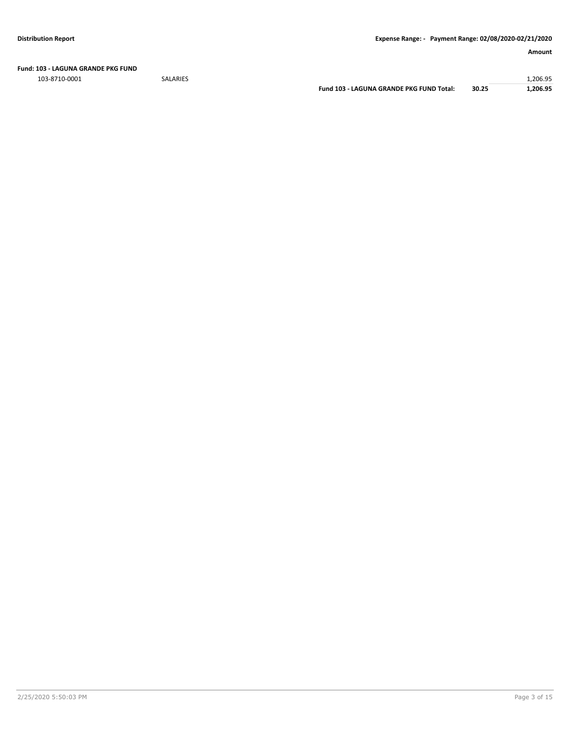**Fund: 103 - LAGUNA GRANDE PKG FUND**

103-8710-0001 SALARIES 1,206.95

**Fund 103 - LAGUNA GRANDE PKG FUND Total: 30.25 1,206.95**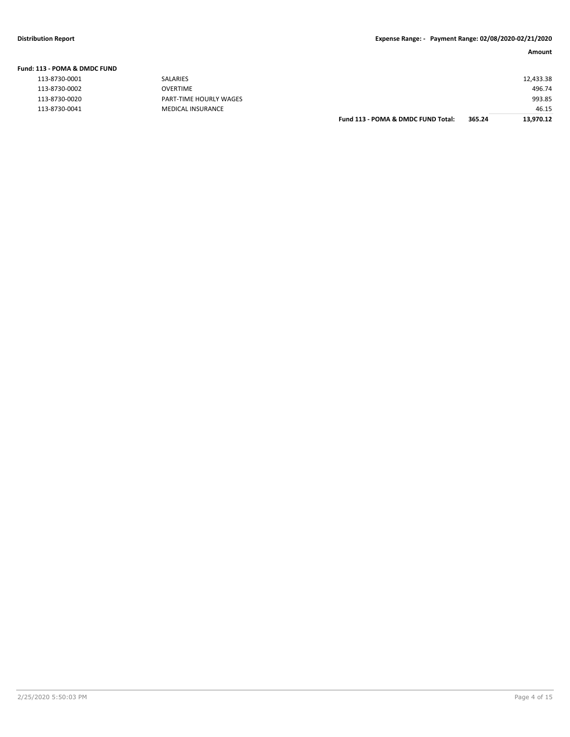| Fund: 113 - POMA & DMDC FUND |                          |                                    |        |           |
|------------------------------|--------------------------|------------------------------------|--------|-----------|
| 113-8730-0001                | SALARIES                 |                                    |        | 12,433.38 |
| 113-8730-0002                | <b>OVERTIME</b>          |                                    |        | 496.74    |
| 113-8730-0020                | PART-TIME HOURLY WAGES   |                                    |        | 993.85    |
| 113-8730-0041                | <b>MEDICAL INSURANCE</b> |                                    |        | 46.15     |
|                              |                          | Fund 113 - POMA & DMDC FUND Total: | 365.24 | 13,970.12 |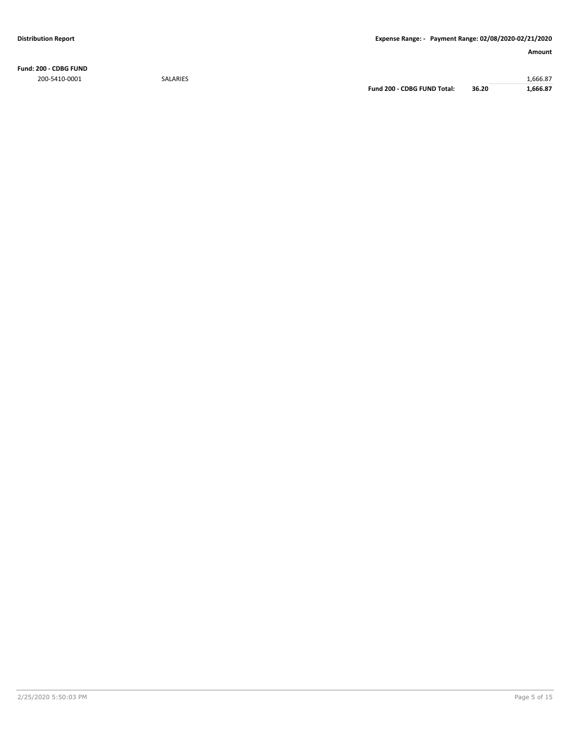**Fund: 200 - CDBG FUND** 200-5410-0001 SALARIES 1,666.87

**Fund 200 - CDBG FUND Total: 36.20 1,666.87**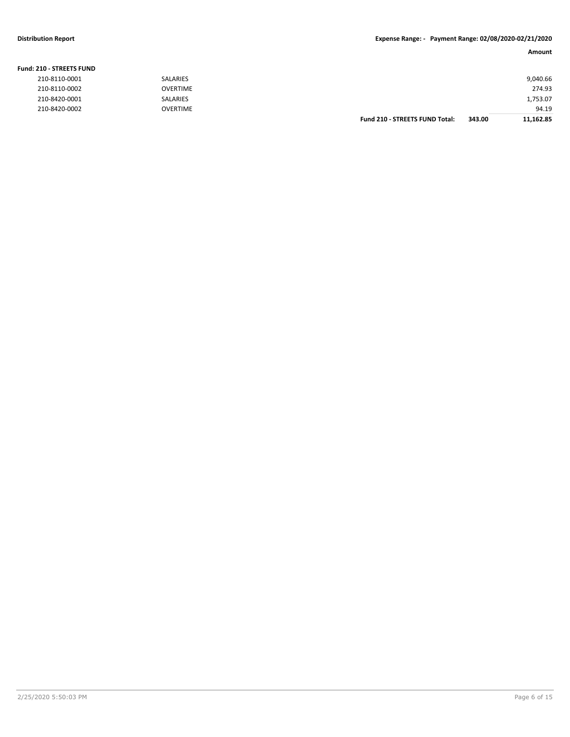### **Distribution Report Expense Range: - Payment Range: 02/08/2020-02/21/2020**

| <b>Fund: 210 - STREETS FUND</b> |                 |                                       |        |           |
|---------------------------------|-----------------|---------------------------------------|--------|-----------|
| 210-8110-0001                   | <b>SALARIES</b> |                                       |        | 9,040.66  |
| 210-8110-0002                   | <b>OVERTIME</b> |                                       |        | 274.93    |
| 210-8420-0001                   | SALARIES        |                                       |        | 1,753.07  |
| 210-8420-0002                   | <b>OVERTIME</b> |                                       |        | 94.19     |
|                                 |                 | <b>Fund 210 - STREETS FUND Total:</b> | 343.00 | 11,162.85 |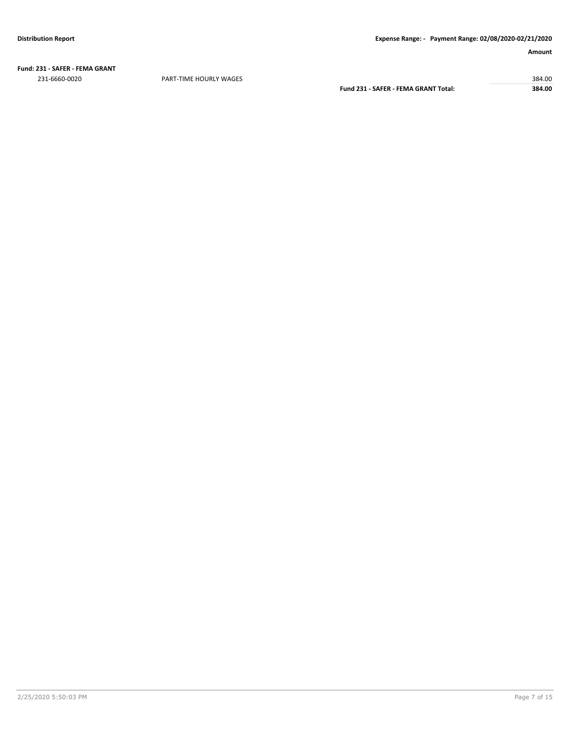**Fund: 231 - SAFER - FEMA GRANT** 231-6660-0020 PART-TIME HOURLY WAGES 384.00

**Fund 231 - SAFER - FEMA GRANT Total: 384.00**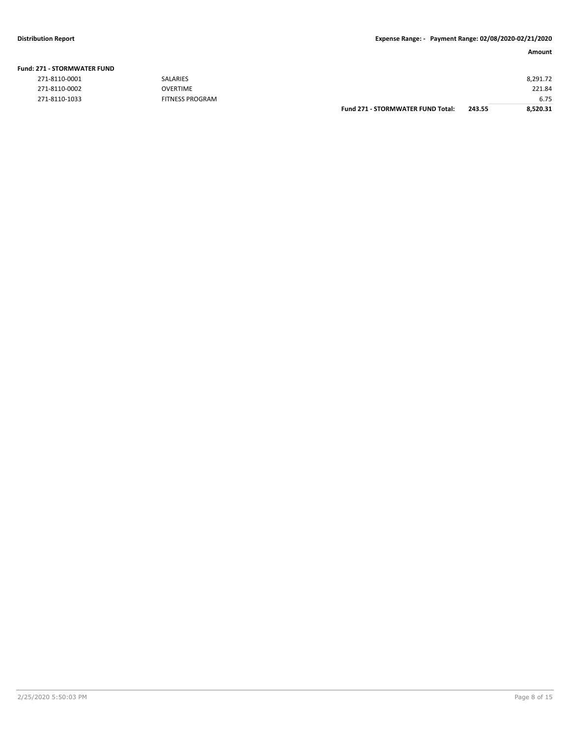| <b>271 - STORMWATER FUND</b> |                 |                                          |        |          |
|------------------------------|-----------------|------------------------------------------|--------|----------|
| 271-8110-0001                | SALARIES        |                                          |        | 8,291.72 |
| 271-8110-0002                | <b>OVERTIME</b> |                                          |        | 221.84   |
| 271-8110-1033                | FITNESS PROGRAM |                                          |        | 6.75     |
|                              |                 | <b>Fund 271 - STORMWATER FUND Total:</b> | 243.55 | 8,520.31 |

#### **Fund: 271 - STORMWATER FUND**

| 271-8110-0001 |  |
|---------------|--|
| 271-8110-0002 |  |
| 271-8110-1033 |  |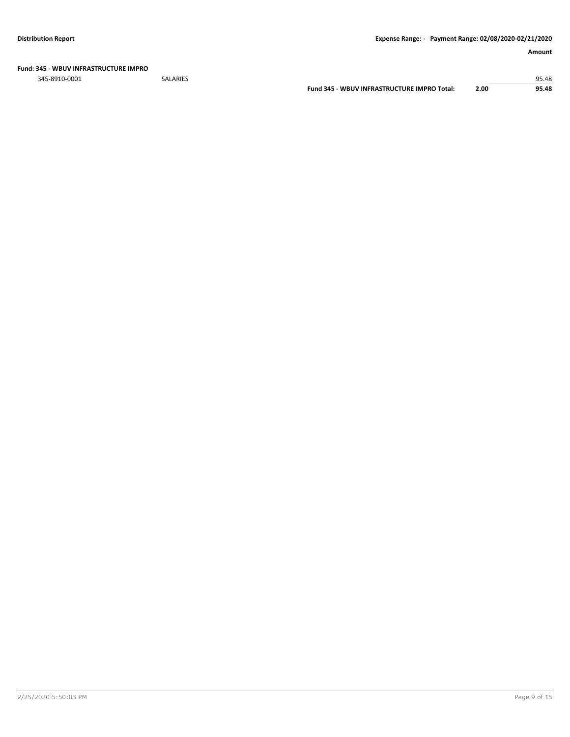**Fund: 345 - WBUV INFRASTRUCTURE IMPRO**

345-8910-0001 SALARIES 95.48

**Fund 345 - WBUV INFRASTRUCTURE IMPRO Total: 2.00 95.48**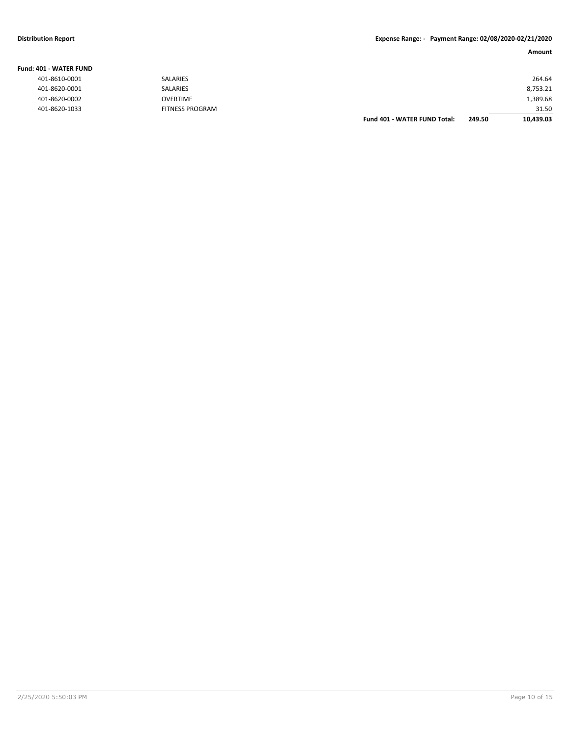### **Distribution Report Expense Range: - Payment Range: 02/08/2020-02/21/2020**

| IO1 - WATER FUND |                        |                                     |        |           |
|------------------|------------------------|-------------------------------------|--------|-----------|
| 401-8610-0001    | SALARIES               |                                     |        | 264.64    |
| 401-8620-0001    | SALARIES               |                                     |        | 8,753.21  |
| 401-8620-0002    | OVERTIME               |                                     |        | 1,389.68  |
| 401-8620-1033    | <b>FITNESS PROGRAM</b> |                                     |        | 31.50     |
|                  |                        | <b>Fund 401 - WATER FUND Total:</b> | 249.50 | 10,439.03 |

**Fund: 401 - WATER FUND**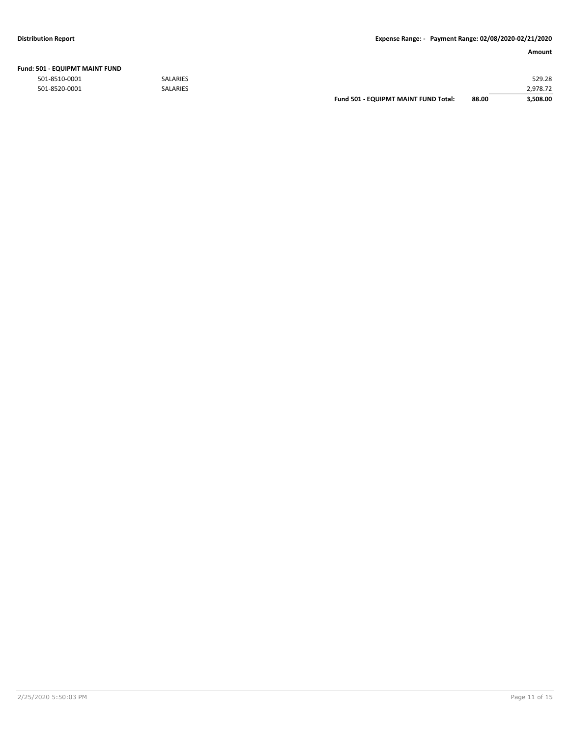| <b>Fund: 501 - EQUIPMT MAINT FUND</b> |                 |                                      |       |          |
|---------------------------------------|-----------------|--------------------------------------|-------|----------|
| 501-8510-0001                         | <b>SALARIES</b> |                                      |       | 529.28   |
| 501-8520-0001                         | <b>SALARIES</b> |                                      |       | 2.978.72 |
|                                       |                 | Fund 501 - EQUIPMT MAINT FUND Total: | 88.00 | 3.508.00 |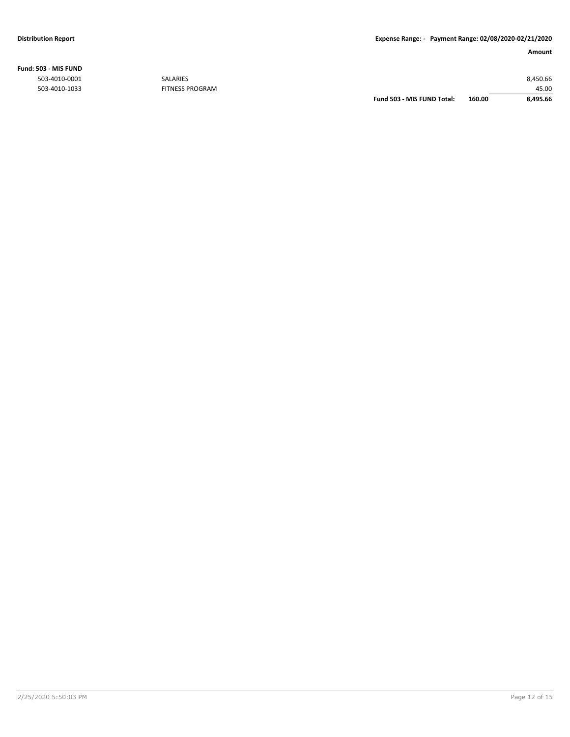### **Fund: 503 - MIS FUND**

| 8,495.66 |
|----------|
| 45.00    |
| 8,450.66 |
|          |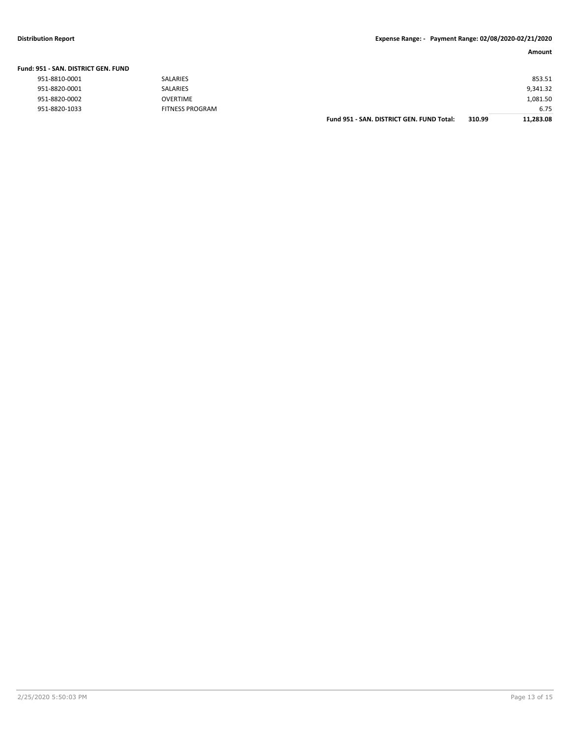### **Distribution Report Expense Range: - Payment Range: 02/08/2020-02/21/2020**

| Fund: 951 - SAN. DISTRICT GEN. FUND |                        |                                           |        |           |
|-------------------------------------|------------------------|-------------------------------------------|--------|-----------|
| 951-8810-0001                       | <b>SALARIES</b>        |                                           |        | 853.51    |
| 951-8820-0001                       | SALARIES               |                                           |        | 9,341.32  |
| 951-8820-0002                       | <b>OVERTIME</b>        |                                           |        | 1,081.50  |
| 951-8820-1033                       | <b>FITNESS PROGRAM</b> |                                           |        | 6.75      |
|                                     |                        | Fund 951 - SAN, DISTRICT GEN, FUND Total: | 310.99 | 11.283.08 |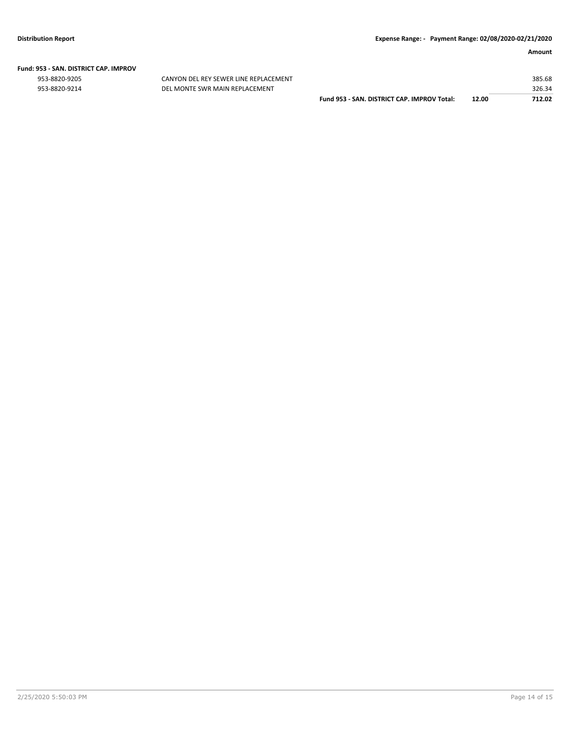## **Fund: 953 - SAN. DISTRICT CAP. IMPROV**

CANYON DEL REY SEWER LINE REPLACEMENT 953-8820-9214 DEL MONTE SWR MAIN REPLACEMENT

|                                             |       | 385.68 |
|---------------------------------------------|-------|--------|
|                                             |       | 326.34 |
| Fund 953 - SAN, DISTRICT CAP, IMPROV Total: | 12.00 | 712.02 |